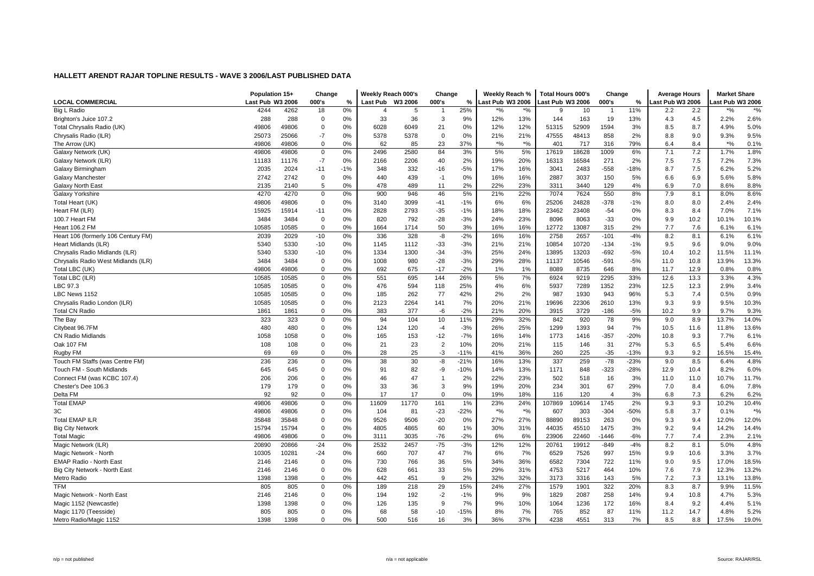|                                     | Population 15+   |       | Change      |       | Weekly Reach 000's |         | Change         |               | Weekly Reach %   |               | <b>Total Hours 000's</b> |       | Change                 |        | <b>Average Hours</b> |      | <b>Market Share</b> |               |
|-------------------------------------|------------------|-------|-------------|-------|--------------------|---------|----------------|---------------|------------------|---------------|--------------------------|-------|------------------------|--------|----------------------|------|---------------------|---------------|
| <b>LOCAL COMMERCIAL</b>             | Last Pub W3 2006 |       | 000's       | %     | <b>Last Pub</b>    | W3 2006 | 000's          | $\frac{9}{6}$ | Last Pub W3 2006 |               | ast Pub W3 2006          |       | 000's                  | %      | Last Pub W3 2006     |      | ast Pub W3 2006     |               |
| Big L Radio                         | 4244             | 4262  | 18          | 0%    |                    | 5       |                | 25%           | %'               | $\frac{1}{6}$ | g                        | 10    |                        | 11%    | 2.2                  | 2.2  | $^{\ast}$ %         | $\frac{1}{2}$ |
| Brighton's Juice 107.2              | 288              | 288   | $\mathbf 0$ | 0%    | 33                 | 36      | 3              | 9%            | 12%              | 13%           | 144                      | 163   | 19                     | 13%    | 4.3                  | 4.5  | 2.2%                | 2.6%          |
| Total Chrysalis Radio (UK)          | 49806            | 49806 | 0           | 0%    | 6028               | 6049    | 21             | 0%            | 12%              | 12%           | 51315                    | 52909 | 1594                   | 3%     | 8.5                  | 8.7  | 4.9%                | 5.0%          |
| Chrysalis Radio (ILR)               | 25073            | 25066 | $-7$        | 0%    | 5378               | 5378    | $\mathbf 0$    | 0%            | 21%              | 21%           | 47555                    | 48413 | 858                    | 2%     | 8.8                  | 9.0  | 9.3%                | 9.5%          |
| The Arrow (UK)                      | 49806            | 49806 | $\mathbf 0$ | 0%    | 62                 | 85      | 23             | 37%           | $*$ %            | $*$ %         | 401                      | 717   | 316                    | 79%    | 6.4                  | 8.4  | $*9/0$              | 0.1%          |
| Galaxy Network (UK)                 | 49806            | 49806 | $\mathbf 0$ | 0%    | 2496               | 2580    | 84             | 3%            | 5%               | 5%            | 17619                    | 18628 | 1009                   | 6%     | 7.1                  | 7.2  | 1.7%                | 1.8%          |
| Galaxy Network (ILR)                | 11183            | 11176 | $-7$        | 0%    | 2166               | 2206    | 40             | 2%            | 19%              | 20%           | 16313                    | 16584 | 271                    | 2%     | 7.5                  | 7.5  | 7.2%                | 7.3%          |
| Galaxy Birmingham                   | 2035             | 2024  | $-11$       | $-1%$ | 348                | 332     | $-16$          | $-5%$         | 17%              | 16%           | 3041                     | 2483  | $-558$                 | $-18%$ | 8.7                  | 7.5  | 6.2%                | 5.2%          |
| Galaxy Manchester                   | 2742             | 2742  | $\mathbf 0$ | 0%    | 440                | 439     | $-1$           | 0%            | 16%              | 16%           | 2887                     | 3037  | 150                    | 5%     | 6.6                  | 6.9  | 5.6%                | 5.8%          |
| Galaxy North East                   | 2135             | 2140  | 5           | 0%    | 478                | 489     | 11             | 2%            | 22%              | 23%           | 3311                     | 3440  | 129                    | 4%     | 6.9                  | 7.0  | 8.6%                | 8.8%          |
| Galaxy Yorkshire                    | 4270             | 4270  | $\mathbf 0$ | 0%    | 900                | 946     | 46             | 5%            | 21%              | 22%           | 7074                     | 7624  | 550                    | 8%     | 7.9                  | 8.1  | 8.0%                | 8.6%          |
| Total Heart (UK)                    | 49806            | 49806 | $\mathbf 0$ | 0%    | 3140               | 3099    | $-41$          | $-1%$         | 6%               | 6%            | 25206                    | 24828 | $-378$                 | $-1%$  | 8.0                  | 8.0  | 2.4%                | 2.4%          |
| Heart FM (ILR)                      | 15925            | 15914 | $-11$       | 0%    | 2828               | 2793    | $-35$          | $-1%$         | 18%              | 18%           | 23462                    | 23408 | $-54$                  | 0%     | 8.3                  | 8.4  | 7.0%                | 7.1%          |
| 100.7 Heart FM                      | 3484             | 3484  | 0           | 0%    | 820                | 792     | $-28$          | $-3%$         | 24%              | 23%           | 8096                     | 8063  | $-33$                  | 0%     | 9.9                  | 10.2 | 10.1%               | 10.1%         |
| <b>Heart 106.2 FM</b>               | 10585            | 10585 | $\mathbf 0$ | 0%    | 1664               | 1714    | 50             | 3%            | 16%              | 16%           | 12772                    | 13087 | 315                    | 2%     | 7.7                  | 7.6  | 6.1%                | 6.1%          |
| Heart 106 (formerly 106 Century FM) | 2039             | 2029  | -10         | 0%    | 336                | 328     | -8             | $-2%$         | 16%              | 16%           | 2758                     | 2657  | $-101$                 | $-4%$  | 8.2                  | 8.1  | 6.1%                | 6.1%          |
| Heart Midlands (ILR)                | 5340             | 5330  | -10         | 0%    | 1145               | 1112    | $-33$          | $-3%$         | 21%              | 21%           | 10854                    | 10720 | $-134$                 | $-1%$  | 9.5                  | 9.6  | 9.0%                | 9.0%          |
| Chrysalis Radio Midlands (ILR)      | 5340             | 5330  | -10         | 0%    | 1334               | 1300    | $-34$          | $-3%$         | 25%              | 24%           | 13895                    | 13203 | $-692$                 | $-5%$  | 10.4                 | 10.2 | 11.5%               | 11.1%         |
| Chrysalis Radio West Midlands (ILR) | 3484             | 3484  | 0           | 0%    | 1008               | 980     | $-28$          | $-3%$         | 29%              | 28%           | 11137                    | 10546 | $-591$                 | $-5%$  | 11.0                 | 10.8 | 13.9%               | 13.3%         |
| Total LBC (UK)                      | 49806            | 49806 | $\mathbf 0$ | 0%    | 692                | 675     | $-17$          | $-2%$         | 1%               | 1%            | 8089                     | 8735  | 646                    | 8%     | 11.7                 | 12.9 | 0.8%                | 0.8%          |
| Total LBC (ILR)                     | 10585            | 10585 | $\mathbf 0$ | 0%    | 551                | 695     | 144            | 26%           | 5%               | 7%            | 6924                     | 9219  | 2295                   | 33%    | 12.6                 | 13.3 | 3.3%                | 4.3%          |
| LBC 97.3                            | 10585            | 10585 | 0           | 0%    | 476                | 594     | 118            | 25%           | 4%               | 6%            | 5937                     | 7289  | 1352                   | 23%    | 12.5                 | 12.3 | 2.9%                | 3.4%          |
| LBC News 1152                       | 10585            | 10585 | 0           | 0%    | 185                | 262     | 77             | 42%           | 2%               | 2%            | 987                      | 1930  | 943                    | 96%    | 5.3                  | 7.4  | 0.5%                | 0.9%          |
| Chrysalis Radio London (ILR)        | 10585            | 10585 | 0           | 0%    | 2123               | 2264    | 141            | 7%            | 20%              | 21%           | 19696                    | 22306 | 2610                   | 13%    | 9.3                  | 9.9  | 9.5%                | 10.3%         |
| <b>Total CN Radio</b>               | 1861             | 1861  | 0           | 0%    | 383                | 377     | -6             | $-2%$         | 21%              | 20%           | 3915                     | 3729  | $-186$                 | $-5%$  | 10.2                 | 9.9  | 9.7%                | 9.3%          |
| The Bay                             | 323              | 323   | $\mathbf 0$ | 0%    | 94                 | 104     | 10             | 11%           | 29%              | 32%           | 842                      | 920   | 78                     | 9%     | 9.0                  | 8.9  | 13.7%               | 14.0%         |
| Citybeat 96.7FM                     | 480              | 480   | $\mathbf 0$ | 0%    | 124                | 120     | $-4$           | $-3%$         | 26%              | 25%           | 1299                     | 1393  | 94                     | 7%     | 10.5                 | 11.6 | 11.8%               | 13.6%         |
| <b>CN Radio Midlands</b>            | 1058             | 1058  | 0           | 0%    | 165                | 153     | $-12$          | $-7%$         | 16%              | 14%           | 1773                     | 1416  | $-357$                 | $-20%$ | 10.8                 | 9.3  | 7.7%                | 6.1%          |
| Oak 107 FM                          | 108              | 108   | 0           | 0%    | 21                 | 23      | $\overline{2}$ | 10%           | 20%              | 21%           | 115                      | 146   | 31                     | 27%    | 5.3                  | 6.5  | 5.4%                | 6.6%          |
| Rugby FM                            | 69               | 69    | $\mathbf 0$ | 0%    | 28                 | 25      | -3             | $-11%$        | 41%              | 36%           | 260                      | 225   | $-35$                  | $-13%$ | 9.3                  | 9.2  | 16.5%               | 15.4%         |
| Touch FM Staffs (was Centre FM)     | 236              | 236   | $\mathbf 0$ | 0%    | 38                 | 30      | -8             | $-21%$        | 16%              | 13%           | 337                      | 259   | $-78$                  | $-23%$ | 9.0                  | 8.5  | 6.4%                | 4.8%          |
| Touch FM - South Midlands           | 645              | 645   | 0           | 0%    | 91                 | 82      | -9             | $-10%$        | 14%              | 13%           | 1171                     | 848   | $-323$                 | $-28%$ | 12.9                 | 10.4 | 8.2%                | 6.0%          |
| Connect FM (was KCBC 107.4)         | 206              | 206   | $\mathbf 0$ | 0%    | 46                 | 47      | $\overline{1}$ | 2%            | 22%              | 23%           | 502                      | 518   | 16                     | 3%     | 11.0                 | 11.0 | 10.7%               | 11.7%         |
| Chester's Dee 106.3                 | 179              | 179   | 0           | $0\%$ | 33                 | 36      | 3              | 9%            | 19%              | 20%           | 234                      | 301   | 67                     | 29%    | 7.0                  | 8.4  | 6.0%                | 7.8%          |
| Delta FM                            | 92               | 92    | 0           | 0%    | 17                 | 17      | $\mathbf 0$    | 0%            | 19%              | 18%           | 116                      | 120   | $\boldsymbol{\Lambda}$ | 3%     | 6.8                  | 7.3  | 6.2%                | 6.2%          |
| <b>Total EMAP</b>                   | 49806            | 49806 | 0           | 0%    | 11609              | 11770   | 161            | 1%            | 23%              | 24%           | 107869                   | 09614 | 1745                   | 2%     | 9.3                  | 9.3  | 10.2%               | 10.4%         |
| 3C                                  | 49806            | 49806 | 0           | 0%    | 104                | 81      | $-23$          | $-22%$        | $*9/6$           | $*$ %         | 607                      | 303   | $-304$                 | $-50%$ | 5.8                  | 3.7  | 0.1%                | $*$ %         |
| <b>Total EMAP ILR</b>               | 35848            | 35848 | $\mathbf 0$ | 0%    | 9526               | 9506    | $-20$          | 0%            | 27%              | 27%           | 88890                    | 89153 | 263                    | 0%     | 9.3                  | 9.4  | 12.0%               | 12.0%         |
| <b>Big City Network</b>             | 15794            | 15794 | $\mathbf 0$ | 0%    | 4805               | 4865    | 60             | 1%            | 30%              | 31%           | 44035                    | 45510 | 1475                   | 3%     | 9.2                  | 9.4  | 14.2%               | 14.4%         |
| <b>Total Magic</b>                  | 49806            | 49806 | 0           | 0%    | 3111               | 3035    | $-76$          | $-2%$         | 6%               | 6%            | 23906                    | 22460 | -1446                  | $-6%$  | 7.7                  | 7.4  | 2.3%                | 2.1%          |
| Magic Network (ILR)                 | 20890            | 20866 | $-24$       | 0%    | 2532               | 2457    | $-75$          | $-3%$         | 12%              | 12%           | 20761                    | 19912 | $-849$                 | $-4%$  | 8.2                  | 8.1  | 5.0%                | 4.8%          |
| Magic Network - North               | 10305            | 10281 | $-24$       | 0%    | 660                | 707     | 47             | 7%            | 6%               | 7%            | 6529                     | 7526  | 997                    | 15%    | 9.9                  | 10.6 | 3.3%                | 3.7%          |
| EMAP Radio - North Eas              | 2146             | 2146  | 0           | 0%    | 730                | 766     | 36             | 5%            | 34%              | 36%           | 6582                     | 7304  | 722                    | 11%    | 9.0                  | 9.5  | 17.0%               | 18.5%         |
| Big City Network - North East       | 2146             | 2146  | $\mathbf 0$ | 0%    | 628                | 661     | 33             | 5%            | 29%              | 31%           | 4753                     | 5217  | 464                    | 10%    | 7.6                  | 7.9  | 12.3%               | 13.2%         |
| Metro Radio                         | 1398             | 1398  | 0           | 0%    | 442                | 451     | 9              | 2%            | 32%              | 32%           | 3173                     | 3316  | 143                    | 5%     | 7.2                  | 7.3  | 13.1%               | 13.8%         |
| <b>TFM</b>                          | 805              | 805   | 0           | 0%    | 189                | 218     | 29             | 15%           | 24%              | 27%           | 1579                     | 1901  | 322                    | 20%    | 8.3                  | 8.7  | 9.9%                | 11.5%         |
| Magic Network - North East          | 2146             | 2146  | 0           | 0%    | 194                | 192     | $-2$           | $-1%$         | 9%               | 9%            | 1829                     | 2087  | 258                    | 14%    | 9.4                  | 10.8 | 4.7%                | 5.3%          |
| Magic 1152 (Newcastle)              | 1398             | 1398  | 0           | $0\%$ | 126                | 135     | 9              | 7%            | 9%               | 10%           | 1064                     | 1236  | 172                    | 16%    | 8.4                  | 9.2  | 4.4%                | 5.1%          |
| Magic 1170 (Teesside)               | 805              | 805   | 0           | 0%    | 68                 | 58      | $-10$          | $-15%$        | 8%               | 7%            | 765                      | 852   | 87                     | 11%    | 11.2                 | 14.7 | 4.8%                | 5.2%          |
| Metro Radio/Magic 1152              | 1398             | 1398  | $\Omega$    | 0%    | 500                | 516     | 16             | 3%            | 36%              | 37%           | 4238                     | 4551  | 313                    | 7%     | 8.5                  | 8.8  | 17.5%               | 19.0%         |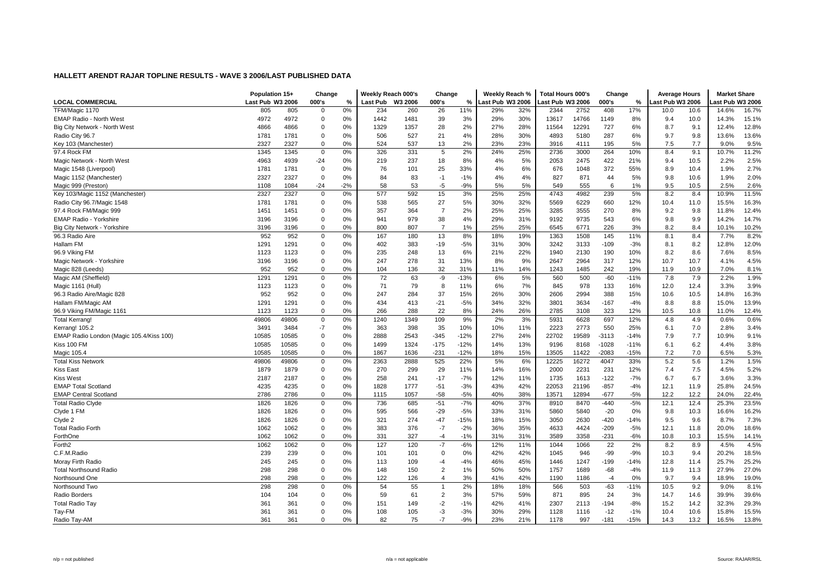|                                          | Population 15+   |       | Change      |       | Weekly Reach 000's |         | Change         |        | Weekly Reach %   |     | <b>Total Hours 000's</b> |       | Change  |        | <b>Average Hours</b> |      | <b>Market Share</b> |       |
|------------------------------------------|------------------|-------|-------------|-------|--------------------|---------|----------------|--------|------------------|-----|--------------------------|-------|---------|--------|----------------------|------|---------------------|-------|
| <b>LOCAL COMMERCIAL</b>                  | Last Pub W3 2006 |       | 000's       | %     | Last Pub           | W3 2006 | 000's          | %      | Last Pub W3 2006 |     | ast Pub W3 2006          |       | 000's   | %      | ast Pub W3 2006      |      | ast Pub W3 2006     |       |
| TFM/Magic 1170                           | 805              | 805   | $\Omega$    | 0%    | 234                | 260     | 26             | 11%    | 29%              | 32% | 2344                     | 2752  | 408     | 17%    | 10.0                 | 10.6 | 14.6%               | 16.7% |
| EMAP Radio - North West                  | 4972             | 4972  | $\mathbf 0$ | 0%    | 1442               | 1481    | 39             | 3%     | 29%              | 30% | 13617                    | 14766 | 1149    | 8%     | 9.4                  | 10.0 | 14.3%               | 15.1% |
| Big City Network - North West            | 4866             | 4866  | $\Omega$    | 0%    | 1329               | 1357    | 28             | 2%     | 27%              | 28% | 11564                    | 12291 | 727     | 6%     | 8.7                  | 9.1  | 12.4%               | 12.8% |
| Radio City 96.7                          | 1781             | 1781  | $\pmb{0}$   | 0%    | 506                | 527     | 21             | 4%     | 28%              | 30% | 4893                     | 5180  | 287     | 6%     | 9.7                  | 9.8  | 13.6%               | 13.6% |
| Key 103 (Manchester)                     | 2327             | 2327  | $\Omega$    | 0%    | 524                | 537     | 13             | 2%     | 23%              | 23% | 3916                     | 4111  | 195     | 5%     | 7.5                  | 7.7  | 9.0%                | 9.5%  |
| 97.4 Rock FM                             | 1345             | 1345  | $\mathbf 0$ | 0%    | 326                | 331     | 5              | 2%     | 24%              | 25% | 2736                     | 3000  | 264     | 10%    | 8.4                  | 9.1  | 10.7%               | 11.2% |
| Magic Network - North West               | 4963             | 4939  | $-24$       | 0%    | 219                | 237     | 18             | 8%     | 4%               | 5%  | 2053                     | 2475  | 422     | 21%    | 9.4                  | 10.5 | 2.2%                | 2.5%  |
| Magic 1548 (Liverpool)                   | 1781             | 1781  | $\mathbf 0$ | 0%    | 76                 | 101     | 25             | 33%    | 4%               | 6%  | 676                      | 1048  | 372     | 55%    | 8.9                  | 10.4 | 1.9%                | 2.7%  |
| Magic 1152 (Manchester)                  | 2327             | 2327  | $\mathbf 0$ | 0%    | 84                 | 83      | $-1$           | $-1%$  | 4%               | 4%  | 827                      | 871   | 44      | 5%     | 9.8                  | 10.6 | 1.9%                | 2.0%  |
| Magic 999 (Preston)                      | 1108             | 1084  | $-24$       | $-2%$ | 58                 | 53      | -5             | $-9%$  | 5%               | 5%  | 549                      | 555   | 6       | 1%     | 9.5                  | 10.5 | 2.5%                | 2.6%  |
| Key 103/Magic 1152 (Manchester)          | 2327             | 2327  | $\mathbf 0$ | 0%    | 577                | 592     | 15             | 3%     | 25%              | 25% | 4743                     | 4982  | 239     | 5%     | 8.2                  | 8.4  | 10.9%               | 11.5% |
| Radio City 96.7/Magic 1548               | 1781             | 1781  | $\mathbf 0$ | 0%    | 538                | 565     | 27             | 5%     | 30%              | 32% | 5569                     | 6229  | 660     | 12%    | 10.4                 | 11.0 | 15.5%               | 16.3% |
| 97.4 Rock FM/Magic 999                   | 1451             | 1451  | $\mathbf 0$ | 0%    | 357                | 364     | $\overline{7}$ | 2%     | 25%              | 25% | 3285                     | 3555  | 270     | 8%     | 9.2                  | 9.8  | 11.8%               | 12.4% |
| <b>EMAP Radio - Yorkshire</b>            | 3196             | 3196  | $\mathbf 0$ | 0%    | 941                | 979     | 38             | 4%     | 29%              | 31% | 9192                     | 9735  | 543     | 6%     | 9.8                  | 9.9  | 14.2%               | 14.7% |
| Big City Network - Yorkshire             | 3196             | 3196  | $\Omega$    | 0%    | 800                | 807     | $\overline{7}$ | 1%     | 25%              | 25% | 6545                     | 6771  | 226     | 3%     | 8.2                  | 8.4  | 10.1%               | 10.2% |
| 96.3 Radio Aire                          | 952              | 952   | $\mathbf 0$ | 0%    | 167                | 180     | 13             | 8%     | 18%              | 19% | 1363                     | 1508  | 145     | 11%    | 8.1                  | 8.4  | 7.7%                | 8.2%  |
| Hallam FM                                | 1291             | 1291  | $\mathbf 0$ | 0%    | 402                | 383     | $-19$          | $-5%$  | 31%              | 30% | 3242                     | 3133  | $-109$  | $-3%$  | 8.1                  | 8.2  | 12.8%               | 12.0% |
| 96.9 Viking FM                           | 1123             | 1123  | $\mathbf 0$ | 0%    | 235                | 248     | 13             | 6%     | 21%              | 22% | 1940                     | 2130  | 190     | 10%    | 8.2                  | 8.6  | 7.6%                | 8.5%  |
| Magic Network - Yorkshire                | 3196             | 3196  | $\mathbf 0$ | 0%    | 247                | 278     | 31             | 13%    | 8%               | 9%  | 2647                     | 2964  | 317     | 12%    | 10.7                 | 10.7 | 4.1%                | 4.5%  |
| Magic 828 (Leeds)                        | 952              | 952   | $\Omega$    | 0%    | 104                | 136     | 32             | 31%    | 11%              | 14% | 1243                     | 1485  | 242     | 19%    | 11.9                 | 10.9 | 7.0%                | 8.1%  |
| Magic AM (Sheffield)                     | 1291             | 1291  | $\Omega$    | 0%    | 72                 | 63      | -9             | $-13%$ | 6%               | 5%  | 560                      | 500   | $-60$   | $-11%$ | 7.8                  | 7.9  | 2.2%                | 1.9%  |
| Magic 1161 (Hull)                        | 1123             | 1123  | $\mathbf 0$ | 0%    | 71                 | 79      | 8              | 11%    | 6%               | 7%  | 845                      | 978   | 133     | 16%    | 12.0                 | 12.4 | 3.3%                | 3.9%  |
| 96.3 Radio Aire/Magic 828                | 952              | 952   | $\mathbf 0$ | 0%    | 247                | 284     | 37             | 15%    | 26%              | 30% | 2606                     | 2994  | 388     | 15%    | 10.6                 | 10.5 | 14.8%               | 16.3% |
| Hallam FM/Magic AM                       | 1291             | 1291  | $\mathbf 0$ | 0%    | 434                | 413     | $-21$          | $-5%$  | 34%              | 32% | 3801                     | 3634  | $-167$  | $-4%$  | 8.8                  | 8.8  | 15.0%               | 13.9% |
| 96.9 Viking FM/Magic 1161                | 1123             | 1123  | $\mathbf 0$ | 0%    | 266                | 288     | 22             | 8%     | 24%              | 26% | 2785                     | 3108  | 323     | 12%    | 10.5                 | 10.8 | 11.0%               | 12.4% |
| <b>Total Kerrang!</b>                    | 49806            | 49806 | $\mathbf 0$ | 0%    | 1240               | 1349    | 109            | 9%     | 2%               | 3%  | 5931                     | 6628  | 697     | 12%    | 4.8                  | 4.9  | 0.6%                | 0.6%  |
| Kerrang! 105.2                           | 3491             | 3484  | $-7$        | 0%    | 363                | 398     | 35             | 10%    | 10%              | 11% | 2223                     | 2773  | 550     | 25%    | 6.1                  | 7.0  | 2.8%                | 3.4%  |
| EMAP Radio London (Magic 105.4/Kiss 100) | 10585            | 10585 | $\mathbf 0$ | 0%    | 2888               | 2543    | $-345$         | $-12%$ | 27%              | 24% | 22702                    | 19589 | $-3113$ | $-14%$ | 7.9                  | 7.7  | 10.9%               | 9.1%  |
| Kiss 100 FM                              | 10585            | 10585 | $\mathbf 0$ | 0%    | 1499               | 1324    | $-175$         | $-12%$ | 14%              | 13% | 9196                     | 8168  | $-1028$ | $-11%$ | 6.1                  | 6.2  | 4.4%                | 3.8%  |
| <b>Magic 105.4</b>                       | 10585            | 10585 | $\Omega$    | 0%    | 1867               | 1636    | $-231$         | $-12%$ | 18%              | 15% | 13505                    | 11422 | $-2083$ | $-15%$ | 7.2                  | 7.0  | 6.5%                | 5.3%  |
| <b>Total Kiss Network</b>                | 49806            | 49806 | $\mathbf 0$ | 0%    | 2363               | 2888    | 525            | 22%    | 5%               | 6%  | 12225                    | 16272 | 4047    | 33%    | 5.2                  | 5.6  | 1.2%                | 1.5%  |
| <b>Kiss East</b>                         | 1879             | 1879  | $\mathbf 0$ | 0%    | 270                | 299     | 29             | 11%    | 14%              | 16% | 2000                     | 2231  | 231     | 12%    | 7.4                  | 7.5  | 4.5%                | 5.2%  |
| <b>Kiss West</b>                         | 2187             | 2187  | $\pmb{0}$   | 0%    | 258                | 241     | $-17$          | $-7%$  | 12%              | 11% | 1735                     | 1613  | $-122$  | $-7%$  | 6.7                  | 6.7  | 3.6%                | 3.3%  |
| <b>EMAP Total Scotland</b>               | 4235             | 4235  | $\mathbf 0$ | 0%    | 1828               | 1777    | $-51$          | $-3%$  | 43%              | 42% | 22053                    | 21196 | $-857$  | $-4%$  | 12.1                 | 11.9 | 25.8%               | 24.5% |
| <b>EMAP Central Scotland</b>             | 2786             | 2786  | $\mathbf 0$ | 0%    | 1115               | 1057    | $-58$          | $-5%$  | 40%              | 38% | 13571                    | 12894 | $-677$  | $-5%$  | 12.2                 | 12.2 | 24.0%               | 22.4% |
| <b>Total Radio Clyde</b>                 | 1826             | 1826  | $\mathbf 0$ | 0%    | 736                | 685     | $-51$          | $-7%$  | 40%              | 37% | 8910                     | 8470  | $-440$  | $-5%$  | 12.1                 | 12.4 | 25.3%               | 23.5% |
| Clyde 1 FM                               | 1826             | 1826  | $\mathbf 0$ | 0%    | 595                | 566     | $-29$          | $-5%$  | 33%              | 31% | 5860                     | 5840  | $-20$   | 0%     | 9.8                  | 10.3 | 16.6%               | 16.2% |
| Clyde 2                                  | 1826             | 1826  | $\Omega$    | 0%    | 321                | 274     | $-47$          | $-15%$ | 18%              | 15% | 3050                     | 2630  | $-420$  | $-14%$ | 9.5                  | 9.6  | 8.7%                | 7.3%  |
| <b>Total Radio Forth</b>                 | 1062             | 1062  | $\mathbf 0$ | 0%    | 383                | 376     | $-7$           | $-2%$  | 36%              | 35% | 4633                     | 4424  | $-209$  | $-5%$  | 12.1                 | 11.8 | 20.0%               | 18.6% |
| ForthOne                                 | 1062             | 1062  | $\Omega$    | 0%    | 331                | 327     | -4             | $-1%$  | 31%              | 31% | 3589                     | 3358  | $-231$  | $-6%$  | 10.8                 | 10.3 | 15.5%               | 14.1% |
| Forth <sub>2</sub>                       | 1062             | 1062  | 0           | 0%    | 127                | 120     | $-7$           | $-6%$  | 12%              | 11% | 1044                     | 1066  | 22      | 2%     | 8.2                  | 8.9  | 4.5%                | 4.5%  |
| C.F.M.Radio                              | 239              | 239   | $\mathbf 0$ | 0%    | 101                | 101     | $\mathbf 0$    | 0%     | 42%              | 42% | 1045                     | 946   | $-99$   | $-9%$  | 10.3                 | 9.4  | 20.2%               | 18.5% |
| Moray Firth Radio                        | 245              | 245   | $\mathbf 0$ | 0%    | 113                | 109     | -4             | $-4%$  | 46%              | 45% | 1446                     | 1247  | $-199$  | $-14%$ | 12.8                 | 11.4 | 25.7%               | 25.2% |
| <b>Total Northsound Radio</b>            | 298              | 298   | $\mathbf 0$ | 0%    | 148                | 150     | $\overline{2}$ | 1%     | 50%              | 50% | 1757                     | 1689  | $-68$   | $-4%$  | 11.9                 | 11.3 | 27.9%               | 27.0% |
| Northsound One                           | 298              | 298   | $\mathbf 0$ | 0%    | 122                | 126     | $\overline{4}$ | 3%     | 41%              | 42% | 1190                     | 1186  | $-4$    | 0%     | 9.7                  | 9.4  | 18.9%               | 19.0% |
| Northsound Two                           | 298              | 298   | $\mathbf 0$ | 0%    | 54                 | 55      | $\overline{1}$ | 2%     | 18%              | 18% | 566                      | 503   | $-63$   | $-11%$ | 10.5                 | 9.2  | 9.0%                | 8.1%  |
| Radio Borders                            | 104              | 104   | $\mathbf 0$ | 0%    | 59                 | 61      | $\overline{2}$ | 3%     | 57%              | 59% | 871                      | 895   | 24      | 3%     | 14.7                 | 14.6 | 39.9%               | 39.6% |
| <b>Total Radio Tay</b>                   | 361              | 361   | $\mathbf 0$ | 0%    | 151                | 149     | $-2$           | $-1%$  | 42%              | 41% | 2307                     | 2113  | $-194$  | $-8%$  | 15.2                 | 14.2 | 32.3%               | 29.3% |
| Tay-FM                                   | 361              | 361   | $\mathbf 0$ | 0%    | 108                | 105     | -3             | $-3%$  | 30%              | 29% | 1128                     | 1116  | $-12$   | $-1%$  | 10.4                 | 10.6 | 15.8%               | 15.5% |
| Radio Tay-AM                             | 361              | 361   | $\Omega$    | 0%    | 82                 | 75      | $-7$           | $-9%$  | 23%              | 21% | 1178                     | 997   | $-181$  | $-15%$ | 14.3                 | 13.2 | 16.5%               | 13.8% |
|                                          |                  |       |             |       |                    |         |                |        |                  |     |                          |       |         |        |                      |      |                     |       |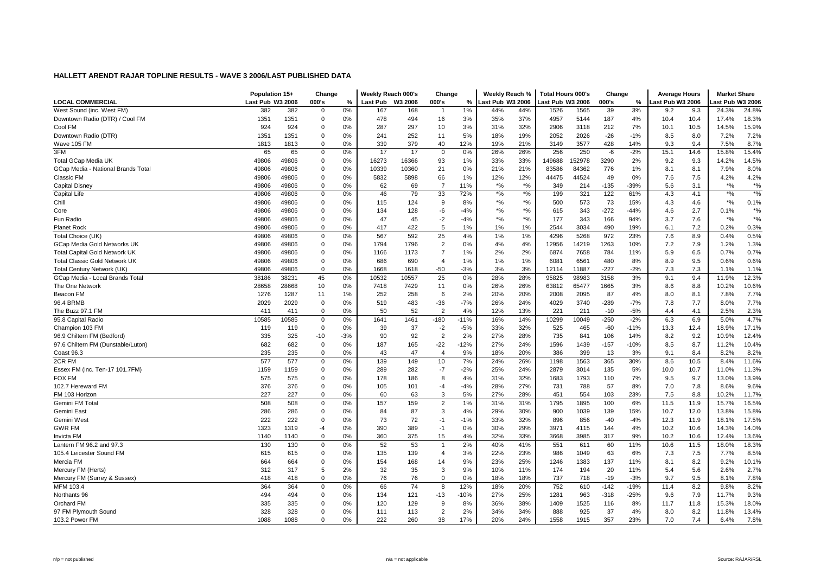|                                      | Population 15+   |       | Change      |       | Weekly Reach 000's |         | Change         |        | Weekly Reach %   |                                               | Total Hours 000's |       | Change |        | <b>Average Hours</b> |      | <b>Market Share</b> |               |
|--------------------------------------|------------------|-------|-------------|-------|--------------------|---------|----------------|--------|------------------|-----------------------------------------------|-------------------|-------|--------|--------|----------------------|------|---------------------|---------------|
| <b>LOCAL COMMERCIAL</b>              | Last Pub W3 2006 |       | 000's       | %     | Last Pub           | W3 2006 | 000's          | %      | Last Pub W3 2006 |                                               | ast Pub W3 2006.  |       | 000's  | %      | Last Pub W3 2006     |      | ast Pub W3 2006     |               |
| West Sound (inc. West FM)            | 382              | 382   | $\Omega$    | 0%    | 167                | 168     |                | 1%     | 44%              | 44%                                           | 1526              | 1565  | 39     | 3%     | 9.2                  | 9.3  | 24.3%               | 24.8%         |
| Downtown Radio (DTR) / Cool FM       | 1351             | 1351  | 0           | 0%    | 478                | 494     | 16             | 3%     | 35%              | 37%                                           | 4957              | 5144  | 187    | 4%     | 10.4                 | 10.4 | 17.4%               | 18.3%         |
| Cool FM                              | 924              | 924   | $\Omega$    | 0%    | 287                | 297     | 10             | 3%     | 31%              | 32%                                           | 2906              | 3118  | 212    | 7%     | 10.1                 | 10.5 | 14.5%               | 15.9%         |
| Downtown Radio (DTR)                 | 1351             | 1351  | $\mathbf 0$ | 0%    | 241                | 252     | 11             | 5%     | 18%              | 19%                                           | 2052              | 2026  | $-26$  | $-1%$  | 8.5                  | 8.0  | 7.2%                | 7.2%          |
| Wave 105 FM                          | 1813             | 1813  | $\Omega$    | 0%    | 339                | 379     | 40             | 12%    | 19%              | 21%                                           | 3149              | 3577  | 428    | 14%    | 9.3                  | 9.4  | 7.5%                | 8.7%          |
| 3FM                                  | 65               | 65    | 0           | 0%    | 17                 | 17      | $\Omega$       | 0%     | 26%              | 26%                                           | 256               | 250   | -6     | $-2%$  | 15.1                 | 14.6 | 15.8%               | 15.4%         |
| <b>Total GCap Media UK</b>           | 49806            | 49806 | 0           | 0%    | 16273              | 16366   | 93             | 1%     | 33%              | 33%                                           | 149688            | 52978 | 3290   | 2%     | 9.2                  | 9.3  | 14.2%               | 14.5%         |
| GCap Media - National Brands Total   | 49806            | 49806 | $\Omega$    | 0%    | 10339              | 10360   | 21             | 0%     | 21%              | 21%                                           | 83586             | 84362 | 776    | 1%     | 8.1                  | 8.1  | 7.9%                | 8.0%          |
| Classic FM                           | 49806            | 49806 | 0           | 0%    | 5832               | 5898    | 66             | 1%     | 12%              | 12%                                           | 44475             | 44524 | 49     | 0%     | 7.6                  | 7.5  | 4.2%                | 4.2%          |
| Capital Disney                       | 49806            | 49806 | $\mathbf 0$ | 0%    | 62                 | 69      | $\overline{7}$ | 11%    | $*9/6$           | $\boldsymbol{^{*0}\!}/_{\!\!0}$               | 349               | 214   | $-135$ | -39%   | 5.6                  | 3.1  | $*9/6$              | $*$ %         |
| Capital Life                         | 49806            | 49806 | 0           | 0%    | 46                 | 79      | 33             | 72%    | $*9/6$           | $\frac{1}{2}$                                 | 199               | 321   | 122    | 61%    | 4.3                  | 4.1  | $*9/6$              | $\frac{1}{2}$ |
| Chill                                | 49806            | 49806 | 0           | 0%    | 115                | 124     | 9              | 8%     | $*9/6$           | $\boldsymbol{^{*0}}\!\mathstrut_{\mathbf{0}}$ | 500               | 573   | 73     | 15%    | 4.3                  | 4.6  | $*9/6$              | 0.1%          |
| Core                                 | 49806            | 49806 | 0           | 0%    | 134                | 128     | -6             | $-4%$  | $*9/6$           | $\boldsymbol{^{*0}}\!\mathstrut_{\mathbf{0}}$ | 615               | 343   | $-272$ | $-44%$ | 4.6                  | 2.7  | 0.1%                | $*9/0$        |
| Fun Radio                            | 49806            | 49806 | $\Omega$    | 0%    | 47                 | 45      | $-2$           | $-4%$  | $*9/6$           | $\frac{1}{2}$                                 | 177               | 343   | 166    | 94%    | 3.7                  | 7.6  | $*$ %               | $*$ %         |
| <b>Planet Rock</b>                   | 49806            | 49806 | $\Omega$    | 0%    | 417                | 422     | 5              | 1%     | 1%               | 1%                                            | 2544              | 3034  | 490    | 19%    | 6.1                  | 7.2  | 0.2%                | 0.3%          |
| Total Choice (UK)                    | 49806            | 49806 | $\mathbf 0$ | 0%    | 567                | 592     | 25             | 4%     | 1%               | 1%                                            | 4296              | 5268  | 972    | 23%    | 7.6                  | 8.9  | 0.4%                | 0.5%          |
| GCap Media Gold Networks UK          | 49806            | 49806 | 0           | 0%    | 1794               | 1796    | $\overline{2}$ | 0%     | 4%               | 4%                                            | 12956             | 14219 | 1263   | 10%    | 7.2                  | 7.9  | 1.2%                | 1.3%          |
| <b>Total Capital Gold Network UK</b> | 49806            | 49806 | 0           | 0%    | 1166               | 1173    | $\overline{7}$ | 1%     | 2%               | 2%                                            | 6874              | 7658  | 784    | 11%    | 5.9                  | 6.5  | 0.7%                | 0.7%          |
| <b>Total Classic Gold Network UK</b> | 49806            | 49806 | $\Omega$    | 0%    | 686                | 690     | $\overline{4}$ | 1%     | 1%               | 1%                                            | 6081              | 6561  | 480    | 8%     | 8.9                  | 9.5  | 0.6%                | 0.6%          |
| <b>Total Century Network (UK)</b>    | 49806            | 49806 | $\Omega$    | 0%    | 1668               | 1618    | $-50$          | $-3%$  | 3%               | 3%                                            | 12114             | 11887 | $-227$ | $-2%$  | 7.3                  | 7.3  | 1.1%                | 1.1%          |
| GCap Media - Local Brands Total      | 38186            | 38231 | 45          | 0%    | 10532              | 10557   | 25             | 0%     | 28%              | 28%                                           | 95825             | 98983 | 3158   | 3%     | 9.1                  | 9.4  | 11.9%               | 12.3%         |
| The One Network                      | 28658            | 28668 | 10          | 0%    | 7418               | 7429    | 11             | 0%     | 26%              | 26%                                           | 63812             | 65477 | 1665   | 3%     | 8.6                  | 8.8  | 10.2%               | 10.6%         |
| Beacon FM                            | 1276             | 1287  | 11          | 1%    | 252                | 258     | 6              | 2%     | 20%              | 20%                                           | 2008              | 2095  | 87     | 4%     | 8.0                  | 8.1  | 7.8%                | 7.7%          |
| 96.4 BRMB                            | 2029             | 2029  | $\mathbf 0$ | 0%    | 519                | 483     | $-36$          | $-7%$  | 26%              | 24%                                           | 4029              | 3740  | $-289$ | $-7%$  | 7.8                  | 7.7  | 8.0%                | 7.7%          |
| The Buzz 97.1 FM                     | 411              | 411   | $\Omega$    | 0%    | 50                 | 52      | $\mathcal{P}$  | 4%     | 12%              | 13%                                           | 221               | 211   | $-10$  | $-5%$  | 4.4                  | 4.1  | 2.5%                | 2.3%          |
| 95.8 Capital Radio                   | 10585            | 10585 | $\mathbf 0$ | 0%    | 1641               | 1461    | $-180$         | $-11%$ | 16%              | 14%                                           | 10299             | 10049 | $-250$ | $-2%$  | 6.3                  | 6.9  | 5.0%                | 4.7%          |
| Champion 103 FM                      | 119              | 119   | $\Omega$    | 0%    | 39                 | 37      | $-2$           | $-5%$  | 33%              | 32%                                           | 525               | 465   | $-60$  | $-11%$ | 13.3                 | 12.4 | 18.9%               | 17.1%         |
| 96.9 Chiltern FM (Bedford)           | 335              | 325   | $-10$       | $-3%$ | 90                 | 92      | $\overline{2}$ | 2%     | 27%              | 28%                                           | 735               | 841   | 106    | 14%    | 8.2                  | 9.2  | 10.9%               | 12.4%         |
| 97.6 Chiltern FM (Dunstable/Luton)   | 682              | 682   | $\mathbf 0$ | 0%    | 187                | 165     | $-22$          | $-12%$ | 27%              | 24%                                           | 1596              | 1439  | $-157$ | $-10%$ | 8.5                  | 8.7  | 11.2%               | 10.4%         |
| Coast 96.3                           | 235              | 235   | $\mathbf 0$ | 0%    | 43                 | 47      | $\overline{4}$ | 9%     | 18%              | 20%                                           | 386               | 399   | 13     | 3%     | 9.1                  | 8.4  | 8.2%                | 8.2%          |
| 2CR FM                               | 577              | 577   | 0           | 0%    | 139                | 149     | 10             | 7%     | 24%              | 26%                                           | 1198              | 1563  | 365    | 30%    | 8.6                  | 10.5 | 8.4%                | 11.6%         |
| Essex FM (inc. Ten-17 101.7FM)       | 1159             | 1159  | $\mathbf 0$ | 0%    | 289                | 282     | $-7$           | $-2%$  | 25%              | 24%                                           | 2879              | 3014  | 135    | 5%     | 10.0                 | 10.7 | 11.0%               | 11.3%         |
| <b>FOX FM</b>                        | 575              | 575   | $\mathbf 0$ | 0%    | 178                | 186     | 8              | 4%     | 31%              | 32%                                           | 1683              | 1793  | 110    | 7%     | 9.5                  | 9.7  | 13.0%               | 13.9%         |
| 102.7 Hereward FM                    | 376              | 376   | 0           | 0%    | 105                | 101     | -4             | $-4%$  | 28%              | 27%                                           | 731               | 788   | 57     | 8%     | 7.0                  | 7.8  | 8.6%                | 9.6%          |
| FM 103 Horizon                       | 227              | 227   | $\mathbf 0$ | 0%    | 60                 | 63      | 3              | 5%     | 27%              | 28%                                           | 451               | 554   | 103    | 23%    | 7.5                  | 8.8  | 10.2%               | 11.7%         |
| Gemini FM Total                      | 508              | 508   | $\Omega$    | 0%    | 157                | 159     | $\overline{2}$ | 1%     | 31%              | 31%                                           | 1795              | 1895  | 100    | 6%     | 11.5                 | 11.9 | 15.7%               | 16.5%         |
| Gemini East                          | 286              | 286   | $\Omega$    | 0%    | 84                 | 87      | 3              | 4%     | 29%              | 30%                                           | 900               | 1039  | 139    | 15%    | 10.7                 | 12.0 | 13.8%               | 15.8%         |
| Gemini West                          | 222              | 222   | $\Omega$    | 0%    | 73                 | 72      | $-1$           | $-1%$  | 33%              | 32%                                           | 896               | 856   | $-40$  | $-4%$  | 12.3                 | 11.9 | 18.1%               | 17.5%         |
| <b>GWR FM</b>                        | 1323             | 1319  | $-4$        | 0%    | 390                | 389     | $-1$           | 0%     | 30%              | 29%                                           | 3971              | 4115  | 144    | 4%     | 10.2                 | 10.6 | 14.3%               | 14.0%         |
| Invicta FM                           | 1140             | 1140  | 0           | 0%    | 360                | 375     | 15             | 4%     | 32%              | 33%                                           | 3668              | 3985  | 317    | 9%     | 10.2                 | 10.6 | 12.4%               | 13.6%         |
| Lantern FM 96.2 and 97.3             | 130              | 130   | 0           | 0%    | 52                 | 53      | $\mathbf{1}$   | 2%     | 40%              | 41%                                           | 551               | 611   | 60     | 11%    | 10.6                 | 11.5 | 18.0%               | 18.3%         |
| 105.4 Leicester Sound FM             | 615              | 615   | $\mathbf 0$ | 0%    | 135                | 139     | $\overline{4}$ | 3%     | 22%              | 23%                                           | 986               | 1049  | 63     | 6%     | 7.3                  | 7.5  | 7.7%                | 8.5%          |
| Mercia FM                            | 664              | 664   | $\Omega$    | 0%    | 154                | 168     | 14             | 9%     | 23%              | 25%                                           | 1246              | 1383  | 137    | 11%    | 8.1                  | 8.2  | 9.2%                | 10.1%         |
| Mercury FM (Herts)                   | 312              | 317   | 5           | 2%    | 32                 | 35      | 3              | 9%     | 10%              | 11%                                           | 174               | 194   | 20     | 11%    | 5.4                  | 5.6  | 2.6%                | 2.7%          |
| Mercury FM (Surrey & Sussex)         | 418              | 418   | $\mathbf 0$ | 0%    | 76                 | 76      | $\mathbf 0$    | 0%     | 18%              | 18%                                           | 737               | 718   | $-19$  | $-3%$  | 9.7                  | 9.5  | 8.1%                | 7.8%          |
| MFM 103.4                            | 364              | 364   | 0           | 0%    | 66                 | 74      | 8              | 12%    | 18%              | 20%                                           | 752               | 610   | $-142$ | $-19%$ | 11.4                 | 8.2  | 9.8%                | 8.2%          |
| Northants 96                         | 494              | 494   | $\Omega$    | 0%    | 134                | 121     | $-13$          | $-10%$ | 27%              | 25%                                           | 1281              | 963   | $-318$ | $-25%$ | 9.6                  | 7.9  | 11.7%               | 9.3%          |
| Orchard FM                           | 335              | 335   | 0           | 0%    | 120                | 129     | 9              | 8%     | 36%              | 38%                                           | 1409              | 1525  | 116    | 8%     | 11.7                 | 11.8 | 15.3%               | 18.0%         |
| 97 FM Plymouth Sound                 | 328              | 328   | $\Omega$    | 0%    | 111                | 113     | $\overline{2}$ | 2%     | 34%              | 34%                                           | 888               | 925   | 37     | 4%     | 8.0                  | 8.2  | 11.8%               | 13.4%         |
| 103.2 Power FM                       | 1088             | 1088  | $\Omega$    | 0%    | 222                | 260     | 38             | 17%    | 20%              | 24%                                           | 1558              | 1915  | 357    | 23%    | 7.0                  | 7.4  | 6.4%                | 7.8%          |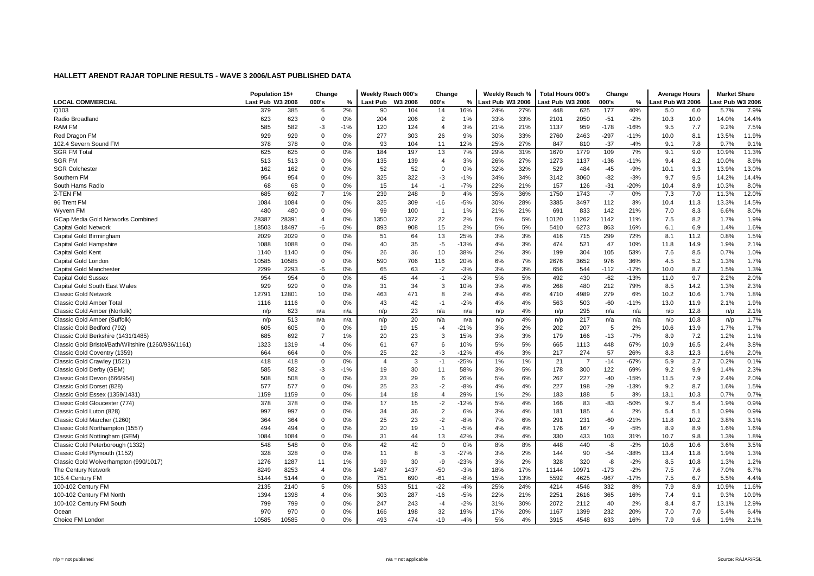|                                                     | Population 15+   |       | Change         |       | Weekly Reach 000's |         | Change         |        | Weekly Reach %   |     | <b>Total Hours 000's</b> |                | Change         |        | <b>Average Hours</b> |      | <b>Market Share</b> |       |
|-----------------------------------------------------|------------------|-------|----------------|-------|--------------------|---------|----------------|--------|------------------|-----|--------------------------|----------------|----------------|--------|----------------------|------|---------------------|-------|
| <b>LOCAL COMMERCIAL</b>                             | Last Pub W3 2006 |       | 000's          | %     | Last Pub           | W3 2006 | 000's          | %      | Last Pub W3 2006 |     | ast Pub W3 2006          |                | 000's          | %      | ast Pub W3 2006      |      | ast Pub W3 2006     |       |
| Q103                                                | 379              | 385   | 6              | 2%    | 90                 | 104     | 14             | 16%    | 24%              | 27% | 448                      | 625            | 177            | 40%    | 5.0                  | 6.0  | 5.7%                | 7.9%  |
| Radio Broadland                                     | 623              | 623   | $\mathbf 0$    | 0%    | 204                | 206     | $\overline{2}$ | 1%     | 33%              | 33% | 2101                     | 2050           | $-51$          | $-2%$  | 10.3                 | 10.0 | 14.0%               | 14.4% |
| RAM FM                                              | 585              | 582   | -3             | $-1%$ | 120                | 124     | $\overline{4}$ | 3%     | 21%              | 21% | 1137                     | 959            | $-178$         | $-16%$ | 9.5                  | 7.7  | 9.2%                | 7.5%  |
| Red Dragon FM                                       | 929              | 929   | 0              | 0%    | 277                | 303     | 26             | 9%     | 30%              | 33% | 2760                     | 2463           | $-297$         | $-11%$ | 10.0                 | 8.1  | 13.5%               | 11.9% |
| 102.4 Severn Sound FM                               | 378              | 378   | $\Omega$       | 0%    | 93                 | 104     | 11             | 12%    | 25%              | 27% | 847                      | 810            | $-37$          | $-4%$  | 9.1                  | 7.8  | 9.7%                | 9.1%  |
| <b>SGR FM Total</b>                                 | 625              | 625   | $\mathbf 0$    | 0%    | 184                | 197     | 13             | 7%     | 29%              | 31% | 1670                     | 1779           | 109            | 7%     | 9.1                  | 9.0  | 10.9%               | 11.3% |
| <b>SGR FM</b>                                       | 513              | 513   | $\mathbf 0$    | 0%    | 135                | 139     | $\overline{4}$ | 3%     | 26%              | 27% | 1273                     | 1137           | $-136$         | $-11%$ | 9.4                  | 8.2  | 10.0%               | 8.9%  |
| <b>SGR Colchester</b>                               | 162              | 162   | $\mathbf 0$    | 0%    | 52                 | 52      | $\Omega$       | 0%     | 32%              | 32% | 529                      | 484            | $-45$          | $-9%$  | 10.1                 | 9.3  | 13.9%               | 13.0% |
| Southern FM                                         | 954              | 954   | $\Omega$       | 0%    | 325                | 322     | -3             | $-1%$  | 34%              | 34% | 3142                     | 3060           | $-82$          | $-3%$  | 9.7                  | 9.5  | 14.2%               | 14.4% |
| South Hams Radio                                    | 68               | 68    | $\mathbf 0$    | 0%    | 15                 | 14      | $-1$           | $-7%$  | 22%              | 21% | 157                      | 126            | $-31$          | $-20%$ | 10.4                 | 8.9  | 10.3%               | 8.0%  |
| 2-TEN FM                                            | 685              | 692   | $\overline{7}$ | 1%    | 239                | 248     | 9              | 4%     | 35%              | 36% | 1750                     | 1743           | $-7$           | 0%     | 7.3                  | 7.0  | 11.3%               | 12.0% |
| 96 Trent FM                                         | 1084             | 1084  | $\mathbf 0$    | 0%    | 325                | 309     | $-16$          | $-5%$  | 30%              | 28% | 3385                     | 3497           | 112            | 3%     | 10.4                 | 11.3 | 13.3%               | 14.5% |
| Wyvern FM                                           | 480              | 480   | $\mathbf 0$    | 0%    | 99                 | 100     | $\overline{1}$ | 1%     | 21%              | 21% | 691                      | 833            | 142            | 21%    | 7.0                  | 8.3  | 6.6%                | 8.0%  |
| GCap Media Gold Networks Combined                   | 28387            | 28391 | $\overline{4}$ | 0%    | 1350               | 1372    | 22             | 2%     | 5%               | 5%  | 10120                    | 11262          | 1142           | 11%    | 7.5                  | 8.2  | 1.7%                | 1.9%  |
| Capital Gold Network                                | 18503            | 18497 | -6             | 0%    | 893                | 908     | 15             | 2%     | 5%               | 5%  | 5410                     | 6273           | 863            | 16%    | 6.1                  | 6.9  | 1.4%                | 1.6%  |
| Capital Gold Birmingham                             | 2029             | 2029  | $\mathbf 0$    | 0%    | 51                 | 64      | 13             | 25%    | 3%               | 3%  | 416                      | 715            | 299            | 72%    | 8.1                  | 11.2 | 0.8%                | 1.5%  |
| Capital Gold Hampshire                              | 1088             | 1088  | $\mathbf 0$    | 0%    | 40                 | 35      | -5             | $-13%$ | 4%               | 3%  | 474                      | 521            | 47             | 10%    | 11.8                 | 14.9 | 1.9%                | 2.1%  |
| Capital Gold Kent                                   | 1140             | 1140  | $\mathbf 0$    | 0%    | 26                 | 36      | 10             | 38%    | 2%               | 3%  | 199                      | 304            | 105            | 53%    | 7.6                  | 8.5  | 0.7%                | 1.0%  |
| Capital Gold London                                 | 10585            | 10585 | $\mathbf 0$    | 0%    | 590                | 706     | 116            | 20%    | 6%               | 7%  | 2676                     | 3652           | 976            | 36%    | 4.5                  | 5.2  | 1.3%                | 1.7%  |
| Capital Gold Manchester                             | 2299             | 2293  | -6             | 0%    | 65                 | 63      | $-2$           | $-3%$  | 3%               | 3%  | 656                      | 544            | $-112$         | $-17%$ | 10.0                 | 8.7  | 1.5%                | 1.3%  |
| <b>Capital Gold Sussex</b>                          | 954              | 954   | $\mathbf 0$    | 0%    | 45                 | 44      | $-1$           | $-2%$  | 5%               | 5%  | 492                      | 430            | $-62$          | $-13%$ | 11.0                 | 9.7  | 2.2%                | 2.0%  |
| Capital Gold South East Wales                       | 929              | 929   | $\mathbf 0$    | 0%    | 31                 | 34      | 3              | 10%    | 3%               | 4%  | 268                      | 480            | 212            | 79%    | 8.5                  | 14.2 | 1.3%                | 2.3%  |
| <b>Classic Gold Network</b>                         | 12791            | 12801 | 10             | 0%    | 463                | 471     | 8              | 2%     | 4%               | 4%  | 4710                     | 4989           | 279            | 6%     | 10.2                 | 10.6 | 1.7%                | 1.8%  |
| Classic Gold Amber Total                            | 1116             | 1116  | $\mathbf 0$    | 0%    | 43                 | 42      | $-1$           | $-2%$  | 4%               | 4%  | 563                      | 503            | $-60$          | $-11%$ | 13.0                 | 11.9 | 2.1%                | 1.9%  |
| Classic Gold Amber (Norfolk)                        | n/p              | 623   | n/a            | n/a   | n/p                | 23      | n/a            | n/a    | n/p              | 4%  | n/p                      | 295            | n/a            | n/a    | n/p                  | 12.8 | n/p                 | 2.1%  |
| Classic Gold Amber (Suffolk)                        | n/p              | 513   | n/a            | n/a   | n/p                | 20      | n/a            | n/a    | n/p              | 4%  | n/p                      | 217            | n/a            | n/a    | n/p                  | 10.8 | n/p                 | 1.7%  |
| Classic Gold Bedford (792)                          | 605              | 605   | $\mathbf 0$    | 0%    | 19                 | 15      | $-4$           | $-21%$ | 3%               | 2%  | 202                      | 207            | 5              | 2%     | 10.6                 | 13.9 | 1.7%                | 1.7%  |
| Classic Gold Berkshire (1431/1485)                  | 685              | 692   | $\overline{7}$ | 1%    | 20                 | 23      | 3              | 15%    | 3%               | 3%  | 179                      | 166            | $-13$          | $-7%$  | 8.9                  | 7.2  | 1.2%                | 1.1%  |
| Classic Gold Bristol/Bath/Wiltshire (1260/936/1161) | 1323             | 1319  | $-4$           | 0%    | 61                 | 67      | 6              | 10%    | 5%               | 5%  | 665                      | 1113           | 448            | 67%    | 10.9                 | 16.5 | 2.4%                | 3.8%  |
| Classic Gold Coventry (1359)                        | 664              | 664   | $\Omega$       | 0%    | 25                 | 22      | -3             | $-12%$ | 4%               | 3%  | 217                      | 274            | 57             | 26%    | 8.8                  | 12.3 | 1.6%                | 2.0%  |
| Classic Gold Crawley (1521)                         | 418              | 418   | $\mathbf 0$    | 0%    | $\overline{4}$     | 3       | $-1$           | $-25%$ | 1%               | 1%  | 21                       | $\overline{7}$ | $-14$          | $-67%$ | 5.9                  | 2.7  | 0.2%                | 0.1%  |
| Classic Gold Derby (GEM)                            | 585              | 582   | $-3$           | $-1%$ | 19                 | 30      | 11             | 58%    | 3%               | 5%  | 178                      | 300            | 122            | 69%    | 9.2                  | 9.9  | 1.4%                | 2.3%  |
| Classic Gold Devon (666/954)                        | 508              | 508   | $\pmb{0}$      | 0%    | 23                 | 29      | 6              | 26%    | 5%               | 6%  | 267                      | 227            | $-40$          | $-15%$ | 11.5                 | 7.9  | 2.4%                | 2.0%  |
| Classic Gold Dorset (828)                           | 577              | 577   | $\mathbf 0$    | 0%    | 25                 | 23      | $-2$           | $-8%$  | 4%               | 4%  | 227                      | 198            | $-29$          | $-13%$ | 9.2                  | 8.7  | 1.6%                | 1.5%  |
| Classic Gold Essex (1359/1431)                      | 1159             | 1159  | $\mathbf 0$    | 0%    | 14                 | 18      | $\overline{4}$ | 29%    | 1%               | 2%  | 183                      | 188            | 5              | 3%     | 13.1                 | 10.3 | 0.7%                | 0.7%  |
| Classic Gold Gloucester (774)                       | 378              | 378   | $\mathbf 0$    | 0%    | 17                 | 15      | $-2$           | $-12%$ | 5%               | 4%  | 166                      | 83             | $-83$          | $-50%$ | 9.7                  | 5.4  | 1.9%                | 0.9%  |
| Classic Gold Luton (828)                            | 997              | 997   | $\mathbf 0$    | 0%    | 34                 | 36      | $\overline{2}$ | 6%     | 3%               | 4%  | 181                      | 185            | $\overline{4}$ | 2%     | 5.4                  | 5.1  | 0.9%                | 0.9%  |
| Classic Gold Marcher (1260)                         | 364              | 364   | $\Omega$       | 0%    | 25                 | 23      | $-2$           | $-8%$  | 7%               | 6%  | 291                      | 231            | $-60$          | $-21%$ | 11.8                 | 10.2 | 3.8%                | 3.1%  |
| Classic Gold Northampton (1557)                     | 494              | 494   | $\mathbf 0$    | 0%    | 20                 | 19      | $-1$           | $-5%$  | 4%               | 4%  | 176                      | 167            | -9             | $-5%$  | 8.9                  | 8.9  | 1.6%                | 1.6%  |
| Classic Gold Nottingham (GEM)                       | 1084             | 1084  | $\Omega$       | 0%    | 31                 | 44      | 13             | 42%    | 3%               | 4%  | 330                      | 433            | 103            | 31%    | 10.7                 | 9.8  | 1.3%                | 1.8%  |
| Classic Gold Peterborough (1332)                    | 548              | 548   | 0              | 0%    | 42                 | 42      | $\mathbf 0$    | 0%     | 8%               | 8%  | 448                      | 440            | -8             | $-2%$  | 10.6                 | 10.6 | 3.6%                | 3.5%  |
| Classic Gold Plymouth (1152)                        | 328              | 328   | $\mathbf 0$    | 0%    | 11                 | 8       | -3             | $-27%$ | 3%               | 2%  | 144                      | 90             | $-54$          | -38%   | 13.4                 | 11.8 | 1.9%                | 1.3%  |
| Classic Gold Wolverhampton (990/1017)               | 1276             | 1287  | 11             | 1%    | 39                 | 30      | -9             | $-23%$ | 3%               | 2%  | 328                      | 320            | -8             | $-2%$  | 8.5                  | 10.8 | 1.3%                | 1.2%  |
| The Century Network                                 | 8249             | 8253  | $\overline{4}$ | 0%    | 1487               | 1437    | $-50$          | $-3%$  | 18%              | 17% | 11144                    | 10971          | $-173$         | $-2%$  | 7.5                  | 7.6  | 7.0%                | 6.7%  |
| 105.4 Century FM                                    | 5144             | 5144  | $\mathbf 0$    | 0%    | 751                | 690     | $-61$          | $-8%$  | 15%              | 13% | 5592                     | 4625           | $-967$         | $-17%$ | 7.5                  | 6.7  | 5.5%                | 4.4%  |
| 100-102 Century FM                                  | 2135             | 2140  | 5              | 0%    | 533                | 511     | $-22$          | $-4%$  | 25%              | 24% | 4214                     | 4546           | 332            | 8%     | 7.9                  | 8.9  | 10.9%               | 11.6% |
| 100-102 Century FM North                            | 1394             | 1398  | $\overline{4}$ | 0%    | 303                | 287     | $-16$          | $-5%$  | 22%              | 21% | 2251                     | 2616           | 365            | 16%    | 7.4                  | 9.1  | 9.3%                | 10.9% |
| 100-102 Century FM South                            | 799              | 799   | 0              | 0%    | 247                | 243     | -4             | $-2%$  | 31%              | 30% | 2072                     | 2112           | 40             | 2%     | 8.4                  | 8.7  | 13.1%               | 12.9% |
| Ocean                                               | 970              | 970   | $\mathbf 0$    | 0%    | 166                | 198     | 32             | 19%    | 17%              | 20% | 1167                     | 1399           | 232            | 20%    | 7.0                  | 7.0  | 5.4%                | 6.4%  |
| Choice FM London                                    | 10585            | 10585 | $\Omega$       | 0%    | 493                | 474     | $-19$          | $-4%$  | 5%               | 4%  | 3915                     | 4548           | 633            | 16%    | 7.9                  | 9.6  | 1.9%                | 2.1%  |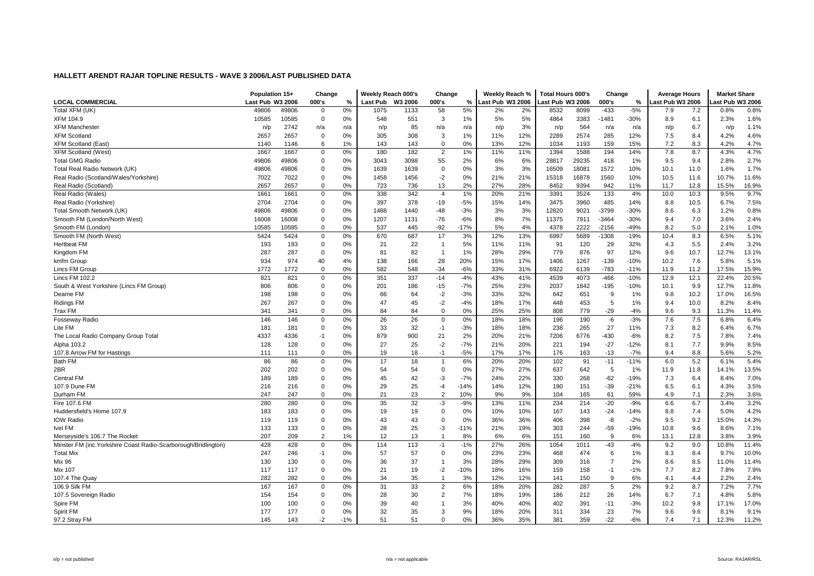|                                                                 | Population 15+   |       | Change         |       | Weekly Reach 000's |         | Change         |        | Weekly Reach %   |     | <b>Total Hours 000's</b> |       | Change         |        | <b>Average Hours</b> |      | <b>Market Share</b> |       |
|-----------------------------------------------------------------|------------------|-------|----------------|-------|--------------------|---------|----------------|--------|------------------|-----|--------------------------|-------|----------------|--------|----------------------|------|---------------------|-------|
| <b>LOCAL COMMERCIAL</b>                                         | Last Pub W3 2006 |       | 000's          | %     | <b>Last Pub</b>    | W3 2006 | 000's          | %      | Last Pub W3 2006 |     | ast Pub W3 2006          |       | 000's          | %      | Last Pub W3 2006     |      | ast Pub W3 2006     |       |
| Total XFM (UK)                                                  | 49806            | 49806 | 0              | 0%    | 1075               | 1133    | 58             | 5%     | 2%               | 2%  | 8532                     | 8099  | $-433$         | $-5%$  | 7.9                  | 7.2  | 0.8%                | 0.8%  |
| <b>XFM 104.9</b>                                                | 10585            | 10585 | $\mathbf 0$    | 0%    | 548                | 551     | 3              | 1%     | 5%               | 5%  | 4864                     | 3383  | $-1481$        | $-30%$ | 8.9                  | 6.1  | 2.3%                | 1.6%  |
| <b>XFM Mancheste</b>                                            | n/p              | 2742  | n/a            | n/a   | n/p                | 85      | n/a            | n/a    | n/p              | 3%  | n/p                      | 564   | n/a            | n/a    | n/p                  | 6.7  | n/p                 | 1.1%  |
| <b>XFM Scotland</b>                                             | 2657             | 2657  | $\mathbf 0$    | 0%    | 305                | 308     | 3              | 1%     | 11%              | 12% | 2289                     | 2574  | 285            | 12%    | 7.5                  | 8.4  | 4.2%                | 4.6%  |
| <b>XFM Scotland (East)</b>                                      | 1140             | 1146  | 6              | 1%    | 143                | 143     | $\mathbf 0$    | 0%     | 13%              | 12% | 1034                     | 1193  | 159            | 15%    | 7.2                  | 8.3  | 4.2%                | 4.7%  |
| <b>XFM Scotland (West)</b>                                      | 1667             | 1667  | 0              | 0%    | 180                | 182     | $\overline{2}$ | 1%     | 11%              | 11% | 1394                     | 1588  | 194            | 14%    | 7.8                  | 8.7  | 4.3%                | 4.7%  |
| <b>Total GMG Radio</b>                                          | 49806            | 49806 | 0              | 0%    | 3043               | 3098    | 55             | 2%     | 6%               | 6%  | 28817                    | 29235 | 418            | 1%     | 9.5                  | 9.4  | 2.8%                | 2.7%  |
| Total Real Radio Network (UK)                                   | 49806            | 49806 | 0              | 0%    | 1639               | 1639    | $\mathbf 0$    | 0%     | 3%               | 3%  | 16509                    | 18081 | 1572           | 10%    | 10.1                 | 11.0 | 1.6%                | 1.7%  |
| Real Radio (Scotland/Wales/Yorkshire)                           | 7022             | 7022  | $\mathbf 0$    | 0%    | 1458               | 1456    | $-2$           | 0%     | 21%              | 21% | 15318                    | 16878 | 1560           | 10%    | 10.5                 | 11.6 | 10.7%               | 11.6% |
| Real Radio (Scotland)                                           | 2657             | 2657  | $\mathbf 0$    | 0%    | 723                | 736     | 13             | 2%     | 27%              | 28% | 8452                     | 9394  | 942            | 11%    | 11.7                 | 12.8 | 15.5%               | 16.9% |
| Real Radio (Wales)                                              | 1661             | 1661  | 0              | 0%    | 338                | 342     | $\overline{4}$ | 1%     | 20%              | 21% | 3391                     | 3524  | 133            | 4%     | 10.0                 | 10.3 | 9.5%                | 9.7%  |
| Real Radio (Yorkshire)                                          | 2704             | 2704  | 0              | 0%    | 397                | 378     | $-19$          | $-5%$  | 15%              | 14% | 3475                     | 3960  | 485            | 14%    | 8.8                  | 10.5 | 6.7%                | 7.5%  |
| Total Smooth Network (UK)                                       | 49806            | 49806 | 0              | 0%    | 1488               | 1440    | $-48$          | $-3%$  | 3%               | 3%  | 12820                    | 9021  | -3799          | $-30%$ | 8.6                  | 6.3  | 1.2%                | 0.8%  |
| Smooth FM (London/North West)                                   | 16008            | 16008 | $\mathbf 0$    | 0%    | 1207               | 1131    | $-76$          | $-6%$  | 8%               | 7%  | 11375                    | 7911  | $-3464$        | $-30%$ | 9.4                  | 7.0  | 3.6%                | 2.4%  |
| Smooth FM (London)                                              | 10585            | 10585 | $\mathbf 0$    | 0%    | 537                | 445     | $-92$          | $-17%$ | 5%               | 4%  | 4378                     | 2222  | $-2156$        | $-49%$ | 8.2                  | 5.0  | 2.1%                | 1.0%  |
| Smooth FM (North West)                                          | 5424             | 5424  | 0              | 0%    | 670                | 687     | 17             | 3%     | 12%              | 13% | 6997                     | 5689  | $-1308$        | $-19%$ | 10.4                 | 8.3  | 6.5%                | 5.1%  |
| <b>Hertbeat FM</b>                                              | 193              | 193   | 0              | 0%    | 21                 | 22      | $\overline{1}$ | 5%     | 11%              | 11% | 91                       | 120   | 29             | 32%    | 4.3                  | 5.5  | 2.4%                | 3.2%  |
| Kingdom FM                                                      | 287              | 287   | 0              | 0%    | 81                 | 82      | $\overline{1}$ | 1%     | 28%              | 29% | 779                      | 876   | 97             | 12%    | 9.6                  | 10.7 | 12.7%               | 13.1% |
| kmfm Group                                                      | 934              | 974   | 40             | 4%    | 138                | 166     | 28             | 20%    | 15%              | 17% | 1406                     | 1267  | $-139$         | $-10%$ | 10.2                 | 7.6  | 5.8%                | 5.1%  |
| Lincs FM Group                                                  | 1772             | 1772  | $\mathbf 0$    | 0%    | 582                | 548     | $-34$          | $-6%$  | 33%              | 31% | 6922                     | 6139  | $-783$         | $-11%$ | 11.9                 | 11.2 | 17.5%               | 15.9% |
| <b>Lincs FM 102.2</b>                                           | 821              | 821   | $\mathbf 0$    | 0%    | 351                | 337     | $-14$          | $-4%$  | 43%              | 41% | 4539                     | 4073  | $-466$         | $-10%$ | 12.9                 | 12.1 | 22.4%               | 20.5% |
| South & West Yorkshire (Lincs FM Group)                         | 806              | 806   | 0              | 0%    | 201                | 186     | $-15$          | $-7%$  | 25%              | 23% | 2037                     | 1842  | $-195$         | $-10%$ | 10.1                 | 9.9  | 12.7%               | 11.8% |
| Dearne FM                                                       | 198              | 198   | 0              | 0%    | 66                 | 64      | $-2$           | $-3%$  | 33%              | 32% | 642                      | 651   | 9              | 1%     | 9.8                  | 10.2 | 17.0%               | 16.5% |
| <b>Ridings FM</b>                                               | 267              | 267   | $\mathbf 0$    | 0%    | 47                 | 45      | $-2$           | $-4%$  | 18%              | 17% | 448                      | 453   | -5             | 1%     | 9.4                  | 10.0 | 8.2%                | 8.4%  |
| <b>Trax FM</b>                                                  | 341              | 341   | $\mathbf 0$    | 0%    | 84                 | 84      | $\mathbf 0$    | 0%     | 25%              | 25% | 808                      | 779   | $-29$          | $-4%$  | 9.6                  | 9.3  | 11.3%               | 11.4% |
| <b>Fosseway Radio</b>                                           | 146              | 146   | $\mathbf 0$    | 0%    | 26                 | 26      | $\Omega$       | 0%     | 18%              | 18% | 196                      | 190   | $-6$           | $-3%$  | 7.6                  | 7.5  | 6.8%                | 6.4%  |
| Lite FM                                                         | 181              | 181   | 0              | 0%    | 33                 | 32      | $-1$           | $-3%$  | 18%              | 18% | 238                      | 265   | 27             | 11%    | 7.3                  | 8.2  | 6.4%                | 6.7%  |
| The Local Radio Company Group Total                             | 4337             | 4336  | $-1$           | 0%    | 879                | 900     | 21             | 2%     | 20%              | 21% | 7206                     | 6776  | $-430$         | $-6%$  | 8.2                  | 7.5  | 7.8%                | 7.4%  |
| Alpha 103.2                                                     | 128              | 128   | 0              | 0%    | 27                 | 25      | $-2$           | $-7%$  | 21%              | 20% | 221                      | 194   | $-27$          | $-12%$ | 8.1                  | 7.7  | 9.9%                | 8.5%  |
| 107.8 Arrow FM for Hastings                                     | 111              | 111   | $\mathbf 0$    | 0%    | 19                 | 18      | $-1$           | $-5%$  | 17%              | 17% | 176                      | 163   | $-13$          | $-7%$  | 9.4                  | 8.8  | 5.6%                | 5.2%  |
| <b>Bath FM</b>                                                  | 86               | 86    | $\mathbf 0$    | 0%    | 17                 | 18      | $\overline{1}$ | 6%     | 20%              | 20% | 102                      | 91    | $-11$          | $-11%$ | 6.0                  | 5.2  | 6.1%                | 5.4%  |
| 2BR                                                             | 202              | 202   | $\mathbf 0$    | 0%    | 54                 | 54      | $\Omega$       | 0%     | 27%              | 27% | 637                      | 642   | -5             | 1%     | 11.9                 | 11.8 | 14.1%               | 13.5% |
| <b>Central FM</b>                                               | 189              | 189   | $\mathbf 0$    | 0%    | 45                 | 42      | $-3$           | $-7%$  | 24%              | 22% | 330                      | 268   | $-62$          | $-19%$ | 7.3                  | 6.4  | 8.4%                | 7.0%  |
| 107.9 Dune FM                                                   | 216              | 216   | 0              | $0\%$ | 29                 | 25      | -4             | $-14%$ | 14%              | 12% | 190                      | 151   | $-39$          | $-21%$ | 6.5                  | 6.1  | 4.3%                | 3.5%  |
| Durham FM                                                       | 247              | 247   | $\mathbf 0$    | 0%    | 21                 | 23      | $\overline{2}$ | 10%    | 9%               | 9%  | 104                      | 165   | 61             | 59%    | 4.9                  | 7.1  | 2.3%                | 3.6%  |
| Fire 107.6 FM                                                   | 280              | 280   | 0              | 0%    | 35                 | 32      | -3             | $-9%$  | 13%              | 11% | 234                      | 214   | $-20$          | $-9%$  | 6.6                  | 6.7  | 3.4%                | 3.2%  |
| Huddersfield's Home 107.9                                       | 183              | 183   | $\mathbf 0$    | 0%    | 19                 | 19      | $\mathbf 0$    | 0%     | 10%              | 10% | 167                      | 143   | $-24$          | $-14%$ | 8.8                  | 7.4  | 5.0%                | 4.2%  |
| <b>IOW Radio</b>                                                | 119              | 119   | $\mathbf 0$    | 0%    | 43                 | 43      | $\Omega$       | 0%     | 36%              | 36% | 406                      | 398   | $-8$           | $-2%$  | 9.5                  | 9.2  | 15.0%               | 14.3% |
| <b>Ivel FM</b>                                                  | 133              | 133   | $\mathbf 0$    | 0%    | 28                 | 25      | $-3$           | $-11%$ | 21%              | 19% | 303                      | 244   | $-59$          | $-19%$ | 10.8                 | 9.6  | 8.6%                | 7.1%  |
| Merseyside's 106.7 The Rocket                                   | 207              | 209   | $\overline{2}$ | 1%    | 12                 | 13      | $\overline{1}$ | 8%     | 6%               | 6%  | 151                      | 160   | 9              | 6%     | 13.1                 | 12.8 | 3.8%                | 3.9%  |
| Minster FM (inc. Yorkshire Coast Radio-Scarborough/Bridlington) | 428              | 428   | 0              | 0%    | 114                | 113     | $-1$           | $-1%$  | 27%              | 26% | 1054                     | 1011  | $-43$          | $-4%$  | 9.2                  | 9.0  | 10.8%               | 11.4% |
| <b>Total Mix</b>                                                | 247              | 246   | $-1$           | 0%    | 57                 | 57      | $\Omega$       | 0%     | 23%              | 23% | 468                      | 474   | 6              | 1%     | 8.3                  | 8.4  | 9.7%                | 10.0% |
| <b>Mix 96</b>                                                   | 130              | 130   | 0              | 0%    | 36                 | 37      | $\overline{1}$ | 3%     | 28%              | 29% | 309                      | 316   | $\overline{7}$ | 2%     | 8.6                  | 8.5  | 11.0%               | 11.4% |
| <b>Mix 107</b>                                                  | 117              | 117   | $\mathbf 0$    | 0%    | 21                 | 19      | $-2$           | $-10%$ | 18%              | 16% | 159                      | 158   | $-1$           | $-1%$  | 7.7                  | 8.2  | 7.8%                | 7.9%  |
| 107.4 The Quay                                                  | 282              | 282   | $\mathbf 0$    | 0%    | 34                 | 35      | $\overline{1}$ | 3%     | 12%              | 12% | 141                      | 150   | -9             | 6%     | 4.1                  | 4.4  | 2.2%                | 2.4%  |
| 106.9 Silk FM                                                   | 167              | 167   | $\mathbf 0$    | 0%    | 31                 | 33      | $\overline{2}$ | 6%     | 18%              | 20% | 282                      | 287   | 5              | 2%     | 9.2                  | 8.7  | 7.2%                | 7.7%  |
| 107.5 Sovereign Radio                                           | 154              | 154   | 0              | 0%    | 28                 | 30      | $\overline{2}$ | 7%     | 18%              | 19% | 186                      | 212   | 26             | 14%    | 6.7                  | 7.1  | 4.8%                | 5.8%  |
| Spire FM                                                        | 100              | 100   | 0              | 0%    | 39                 | 40      | $\overline{1}$ | 3%     | 40%              | 40% | 402                      | 391   | $-11$          | $-3%$  | 10.2                 | 9.8  | 17.1%               | 17.0% |
| Spirit FM                                                       | 177              | 177   | $\mathbf 0$    | 0%    | 32                 | 35      | 3              | 9%     | 18%              | 20% | 311                      | 334   | 23             | 7%     | 9.6                  | 9.6  | 8.1%                | 9.1%  |
| 97.2 Stray FM                                                   | 145              | 143   | $-2$           | $-1%$ | 51                 | 51      | $\Omega$       | 0%     | 36%              | 35% | 381                      | 359   | $-22$          | $-6%$  | 7.4                  | 7.1  | 12.3%               | 11.2% |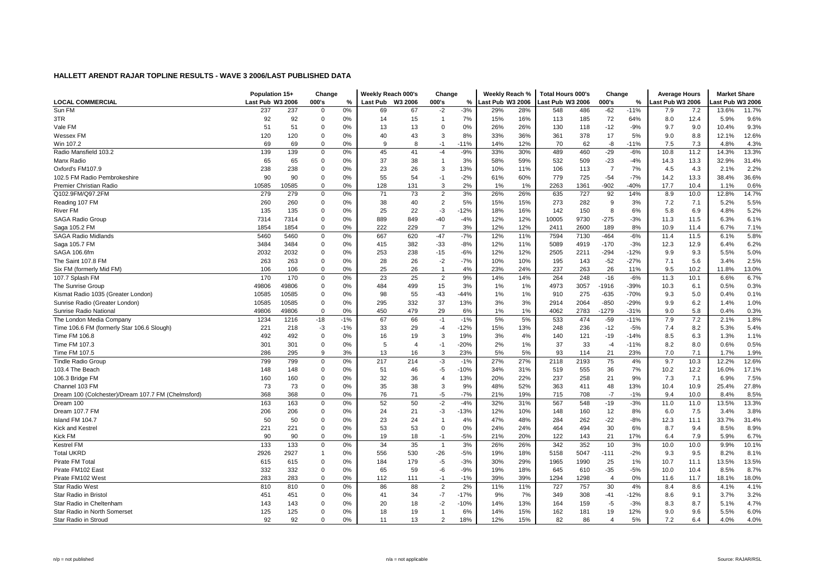|                                                    | Population 15+   |       | Change       |       | Weekly Reach 000's |                | Change         |        | Weekly Reach %   |     | <b>Total Hours 000's</b> |      | Change         |        | <b>Average Hours</b> |      | <b>Market Share</b> |       |
|----------------------------------------------------|------------------|-------|--------------|-------|--------------------|----------------|----------------|--------|------------------|-----|--------------------------|------|----------------|--------|----------------------|------|---------------------|-------|
| <b>LOCAL COMMERCIAL</b>                            | Last Pub W3 2006 |       | 000's        | %     | <b>Last Pub</b>    | W3 2006        | 000's          | %      | Last Pub W3 2006 |     | Last Pub W3 2006         |      | 000's          | %      | ast Pub W3 2006      |      | ast Pub W3 2006     |       |
| Sun FM                                             | 237              | 237   | $\Omega$     | 0%    | 69                 | 67             | $-2$           | $-3%$  | 29%              | 28% | 548                      | 486  | $-62$          | $-11%$ | 7.9                  | 7.2  | 13.6%               | 11.7% |
| 3TR                                                | 92               | 92    | $\Omega$     | 0%    | 14                 | 15             | $\overline{1}$ | 7%     | 15%              | 16% | 113                      | 185  | 72             | 64%    | 8.0                  | 12.4 | 5.9%                | 9.6%  |
| Vale FM                                            | 51               | 51    | $\mathbf 0$  | 0%    | 13                 | 13             | $\Omega$       | 0%     | 26%              | 26% | 130                      | 118  | $-12$          | $-9%$  | 9.7                  | 9.0  | 10.4%               | 9.3%  |
| Wessex FM                                          | 120              | 120   | 0            | 0%    | 40                 | 43             | 3              | 8%     | 33%              | 36% | 361                      | 378  | 17             | 5%     | 9.0                  | 8.8  | 12.1%               | 12.6% |
| Win 107.2                                          | 69               | 69    | $\Omega$     | 0%    | 9                  | 8              | $-1$           | $-11%$ | 14%              | 12% | 70                       | 62   | -8             | $-11%$ | 7.5                  | 7.3  | 4.8%                | 4.3%  |
| Radio Mansfield 103.2                              | 139              | 139   | 0            | 0%    | 45                 | 41             | $-4$           | $-9%$  | 33%              | 30% | 489                      | 460  | $-29$          | $-6%$  | 10.8                 | 11.2 | 14.3%               | 13.3% |
| Manx Radio                                         | 65               | 65    | $\mathbf 0$  | 0%    | 37                 | 38             | $\overline{1}$ | 3%     | 58%              | 59% | 532                      | 509  | $-23$          | $-4%$  | 14.3                 | 13.3 | 32.9%               | 31.4% |
| Oxford's FM107.9                                   | 238              | 238   | $\mathbf 0$  | 0%    | 23                 | 26             | 3              | 13%    | 10%              | 11% | 106                      | 113  | $\overline{7}$ | 7%     | 4.5                  | 4.3  | 2.1%                | 2.2%  |
| 102.5 FM Radio Pembrokeshire                       | 90               | 90    | $\Omega$     | 0%    | 55                 | 54             | $-1$           | $-2%$  | 61%              | 60% | 779                      | 725  | $-54$          | $-7%$  | 14.2                 | 13.3 | 38.4%               | 36.6% |
| Premier Christian Radio                            | 10585            | 10585 | $\mathbf 0$  | 0%    | 128                | 131            | 3              | 2%     | 1%               | 1%  | 2263                     | 1361 | $-902$         | $-40%$ | 17.7                 | 10.4 | 1.1%                | 0.6%  |
| Q102.9FM/Q97.2FM                                   | 279              | 279   | 0            | 0%    | 71                 | 73             | $\overline{2}$ | 3%     | 26%              | 26% | 635                      | 727  | 92             | 14%    | 8.9                  | 10.0 | 12.8%               | 14.7% |
| Reading 107 FM                                     | 260              | 260   | $\mathbf 0$  | 0%    | 38                 | 40             | $\overline{2}$ | 5%     | 15%              | 15% | 273                      | 282  | 9              | 3%     | 7.2                  | 7.1  | 5.2%                | 5.5%  |
| <b>River FM</b>                                    | 135              | 135   | $\mathbf 0$  | 0%    | 25                 | 22             | -3             | $-12%$ | 18%              | 16% | 142                      | 150  | 8              | 6%     | 5.8                  | 6.9  | 4.8%                | 5.2%  |
| SAGA Radio Group                                   | 7314             | 7314  | $\mathbf 0$  | 0%    | 889                | 849            | $-40$          | $-4%$  | 12%              | 12% | 10005                    | 9730 | $-275$         | $-3%$  | 11.3                 | 11.5 | 6.3%                | 6.1%  |
| Saga 105.2 FM                                      | 1854             | 1854  | $\Omega$     | 0%    | 222                | 229            |                | 3%     | 12%              | 12% | 2411                     | 2600 | 189            | 8%     | 10.9                 | 11.4 | 6.7%                | 7.1%  |
| SAGA Radio Midlands                                | 5460             | 5460  | $\mathbf 0$  | 0%    | 667                | 620            | $-47$          | $-7%$  | 12%              | 11% | 7594                     | 7130 | $-464$         | $-6%$  | 11.4                 | 11.5 | 6.1%                | 5.8%  |
| Saga 105.7 FM                                      | 3484             | 3484  | $\mathbf 0$  | 0%    | 415                | 382            | $-33$          | $-8%$  | 12%              | 11% | 5089                     | 4919 | $-170$         | $-3%$  | 12.3                 | 12.9 | 6.4%                | 6.2%  |
| SAGA 106.6fm                                       | 2032             | 2032  | $\mathbf 0$  | 0%    | 253                | 238            | $-15$          | $-6%$  | 12%              | 12% | 2505                     | 2211 | $-294$         | $-12%$ | 9.9                  | 9.3  | 5.5%                | 5.0%  |
| The Saint 107.8 FM                                 | 263              | 263   | $\mathbf 0$  | 0%    | 28                 | 26             | $-2$           | $-7%$  | 10%              | 10% | 195                      | 143  | $-52$          | $-27%$ | 7.1                  | 5.6  | 3.4%                | 2.5%  |
| Six FM (formerly Mid FM)                           | 106              | 106   | $\Omega$     | 0%    | 25                 | 26             | $\overline{1}$ | 4%     | 23%              | 24% | 237                      | 263  | 26             | 11%    | 9.5                  | 10.2 | 11.8%               | 13.0% |
| 107.7 Splash FM                                    | 170              | 170   | $\mathbf 0$  | 0%    | 23                 | 25             | 2              | 9%     | 14%              | 14% | 264                      | 248  | $-16$          | $-6%$  | 11.3                 | 10.1 | 6.6%                | 6.7%  |
| The Sunrise Group                                  | 49806            | 49806 | $\mathbf 0$  | 0%    | 484                | 499            | 15             | 3%     | 1%               | 1%  | 4973                     | 3057 | -1916          | $-39%$ | 10.3                 | 6.1  | 0.5%                | 0.3%  |
| Kismat Radio 1035 (Greater London)                 | 10585            | 10585 | $\mathbf 0$  | 0%    | 98                 | 55             | $-43$          | $-44%$ | 1%               | 1%  | 910                      | 275  | $-635$         | $-70%$ | 9.3                  | 5.0  | 0.4%                | 0.1%  |
| Sunrise Radio (Greater London)                     | 10585            | 10585 | $\mathbf 0$  | 0%    | 295                | 332            | 37             | 13%    | 3%               | 3%  | 2914                     | 2064 | $-850$         | $-29%$ | 9.9                  | 6.2  | 1.4%                | 1.0%  |
| Sunrise Radio National                             | 49806            | 49806 | 0            | 0%    | 450                | 479            | 29             | 6%     | 1%               | 1%  | 4062                     | 2783 | -1279          | $-31%$ | 9.0                  | 5.8  | 0.4%                | 0.3%  |
| The London Media Company                           | 1234             | 1216  | $-18$        | $-1%$ | 67                 | 66             | $-1$           | $-1%$  | 5%               | 5%  | 533                      | 474  | $-59$          | $-11%$ | 7.9                  | 7.2  | 2.1%                | 1.8%  |
| Time 106.6 FM (formerly Star 106.6 Slough)         | 221              | 218   | $-3$         | $-1%$ | 33                 | 29             | $-4$           | $-12%$ | 15%              | 13% | 248                      | 236  | $-12$          | $-5%$  | 7.4                  | 8.2  | 5.3%                | 5.4%  |
| Time FM 106.8                                      | 492              | 492   | 0            | 0%    | 16                 | 19             | 3              | 19%    | 3%               | 4%  | 140                      | 121  | $-19$          | $-14%$ | 8.5                  | 6.3  | 1.3%                | 1.1%  |
| Time FM 107.3                                      | 301              | 301   | $\mathbf 0$  | 0%    | 5                  | $\overline{4}$ | $-1$           | $-20%$ | 2%               | 1%  | 37                       | 33   | $-4$           | $-11%$ | 8.2                  | 8.0  | 0.6%                | 0.5%  |
| Time FM 107.5                                      | 286              | 295   | 9            | 3%    | 13                 | 16             | 3              | 23%    | 5%               | 5%  | 93                       | 114  | 21             | 23%    | 7.0                  | 7.1  | 1.7%                | 1.9%  |
| <b>Tindle Radio Group</b>                          | 799              | 799   | $\mathbf 0$  | 0%    | 217                | 214            | -3             | $-1%$  | 27%              | 27% | 2118                     | 2193 | 75             | 4%     | 9.7                  | 10.3 | 12.2%               | 12.6% |
| 103.4 The Beach                                    | 148              | 148   | 0            | 0%    | 51                 | 46             | -5             | $-10%$ | 34%              | 31% | 519                      | 555  | 36             | 7%     | 10.2                 | 12.2 | 16.0%               | 17.1% |
| 106.3 Bridge FM                                    | 160              | 160   | $\pmb{0}$    | 0%    | 32                 | 36             | $\overline{4}$ | 13%    | 20%              | 22% | 237                      | 258  | 21             | 9%     | 7.3                  | 7.1  | 6.9%                | 7.5%  |
| Channel 103 FM                                     | 73               | 73    | $\mathbf 0$  | 0%    | 35                 | 38             | 3              | 9%     | 48%              | 52% | 363                      | 411  | 48             | 13%    | 10.4                 | 10.9 | 25.4%               | 27.8% |
| Dream 100 (Colchester)/Dream 107.7 FM (Chelmsford) | 368              | 368   | $\Omega$     | 0%    | 76                 | 71             | -5             | $-7%$  | 21%              | 19% | 715                      | 708  | $-7$           | $-1%$  | 9.4                  | 10.0 | 8.4%                | 8.5%  |
| Dream 100                                          | 163              | 163   | $\mathbf 0$  | 0%    | 52                 | 50             | $-2$           | $-4%$  | 32%              | 31% | 567                      | 548  | $-19$          | $-3%$  | 11.0                 | 11.0 | 13.5%               | 13.3% |
| Dream 107.7 FM                                     | 206              | 206   | 0            | 0%    | 24                 | 21             | -3             | $-13%$ | 12%              | 10% | 148                      | 160  | 12             | 8%     | 6.0                  | 7.5  | 3.4%                | 3.8%  |
| Island FM 104.7                                    | 50               | 50    | $\Omega$     | 0%    | 23                 | 24             | $\overline{1}$ | 4%     | 47%              | 48% | 284                      | 262  | $-22$          | $-8%$  | 12.3                 | 11.1 | 33.7%               | 31.4% |
| Kick and Kestrel                                   | 221              | 221   | $\mathbf 0$  | 0%    | 53                 | 53             | $\overline{0}$ | 0%     | 24%              | 24% | 464                      | 494  | 30             | 6%     | 8.7                  | 9.4  | 8.5%                | 8.9%  |
| <b>Kick FM</b>                                     | 90               | 90    | $\Omega$     | 0%    | 19                 | 18             | $-1$           | $-5%$  | 21%              | 20% | 122                      | 143  | 21             | 17%    | 6.4                  | 7.9  | 5.9%                | 6.7%  |
| <b>Kestrel FM</b>                                  | 133              | 133   | 0            | 0%    | 34                 | 35             | $\overline{1}$ | 3%     | 26%              | 26% | 342                      | 352  | 10             | 3%     | 10.0                 | 10.0 | 9.9%                | 10.1% |
| <b>Total UKRD</b>                                  | 2926             | 2927  | $\mathbf{1}$ | 0%    | 556                | 530            | $-26$          | $-5%$  | 19%              | 18% | 5158                     | 5047 | $-111$         | $-2%$  | 9.3                  | 9.5  | 8.2%                | 8.1%  |
| Pirate FM Tota                                     | 615              | 615   | $\mathbf 0$  | 0%    | 184                | 179            | -5             | $-3%$  | 30%              | 29% | 1965                     | 1990 | 25             | 1%     | 10.7                 | 11.1 | 13.5%               | 13.5% |
| Pirate FM102 East                                  | 332              | 332   | $\mathbf 0$  | 0%    | 65                 | 59             | -6             | $-9%$  | 19%              | 18% | 645                      | 610  | $-35$          | $-5%$  | 10.0                 | 10.4 | 8.5%                | 8.7%  |
| Pirate FM102 West                                  | 283              | 283   | $\mathbf 0$  | 0%    | 112                | 111            | $-1$           | $-1%$  | 39%              | 39% | 1294                     | 1298 | $\overline{4}$ | 0%     | 11.6                 | 11.7 | 18.1%               | 18.0% |
| <b>Star Radio West</b>                             | 810              | 810   | 0            | 0%    | 86                 | 88             | $\overline{2}$ | 2%     | 11%              | 11% | 727                      | 757  | 30             | 4%     | 8.4                  | 8.6  | 4.1%                | 4.1%  |
| Star Radio in Bristol                              | 451              | 451   | $\mathbf 0$  | 0%    | 41                 | 34             | $-7$           | $-17%$ | 9%               | 7%  | 349                      | 308  | $-41$          | $-12%$ | 8.6                  | 9.1  | 3.7%                | 3.2%  |
| Star Radio in Cheltenham                           | 143              | 143   | $\mathbf 0$  | 0%    | 20                 | 18             | $-2$           | $-10%$ | 14%              | 13% | 164                      | 159  | -5             | $-3%$  | 8.3                  | 8.7  | 5.1%                | 4.7%  |
| Star Radio in North Somerset                       | 125              | 125   | $\mathbf 0$  | 0%    | 18                 | 19             | $\overline{1}$ | 6%     | 14%              | 15% | 162                      | 181  | 19             | 12%    | 9.0                  | 9.6  | 5.5%                | 6.0%  |
| Star Radio in Stroud                               | 92               | 92    | $\Omega$     | 0%    | 11                 | 13             | $\overline{2}$ | 18%    | 12%              | 15% | 82                       | 86   | $\Delta$       | 5%     | 7.2                  | 6.4  | 4.0%                | 4.0%  |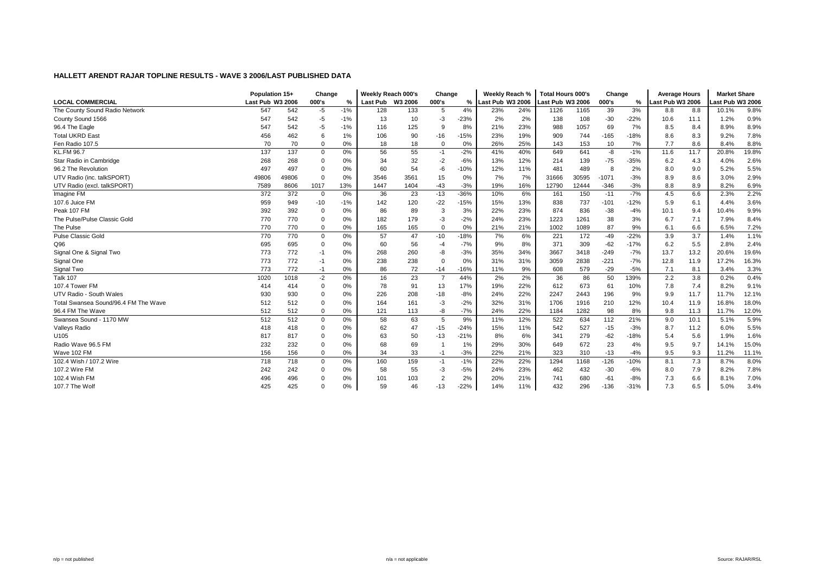|                                      | Population 15+   |       | Change         |       | Weekly Reach 000's |      | Change         |               | Weekly Reach %   |     | <b>Total Hours 000's</b> |       | Change  |        | <b>Average Hours</b> |      | <b>Market Share</b> |       |
|--------------------------------------|------------------|-------|----------------|-------|--------------------|------|----------------|---------------|------------------|-----|--------------------------|-------|---------|--------|----------------------|------|---------------------|-------|
| <b>LOCAL COMMERCIAL</b>              | Last Pub W3 2006 |       | 000's          | %     | Last Pub W3 2006   |      | 000's          | $\frac{9}{6}$ | Last Pub W3 2006 |     | Last Pub W3 2006         |       | 000's   | %      | Last Pub W3 2006     |      | ast Pub W3 2006     |       |
| The County Sound Radio Network       | 547              | 542   | $-5$           | $-1%$ | 128                | 133  | 5              | 4%            | 23%              | 24% | 1126                     | 1165  | 39      | 3%     | 8.8                  | 8.8  | 10.1%               | 9.8%  |
| County Sound 1566                    | 547              | 542   | $-5$           | $-1%$ | 13                 | 10   | -3             | $-23%$        | 2%               | 2%  | 138                      | 108   | $-30$   | $-22%$ | 10.6                 | 11.1 | 1.2%                | 0.9%  |
| 96.4 The Eagle                       | 547              | 542   | -5             | $-1%$ | 116                | 125  | <sub>9</sub>   | 8%            | 21%              | 23% | 988                      | 1057  | 69      | 7%     | 8.5                  | 8.4  | 8.9%                | 8.9%  |
| <b>Total UKRD East</b>               | 456              | 462   | 6              | 1%    | 106                | 90   | $-16$          | $-15%$        | 23%              | 19% | 909                      | 744   | $-165$  | $-18%$ | 8.6                  | 8.3  | 9.2%                | 7.8%  |
| Fen Radio 107.5                      | 70               | 70    | 0              | 0%    | 18                 | 18   | $\Omega$       | 0%            | 26%              | 25% | 143                      | 153   | 10      | 7%     | 7.7                  | 8.6  | 8.4%                | 8.8%  |
| <b>KL.FM 96.7</b>                    | 137              | 137   | $\mathbf 0$    | 0%    | 56                 | 55   | $-1$           | $-2%$         | 41%              | 40% | 649                      | 641   | -8      | $-1%$  | 11.6                 | 11.7 | 20.8%               | 19.8% |
| Star Radio in Cambridge              | 268              | 268   | 0              | 0%    | 34                 | 32   | $-2$           | $-6%$         | 13%              | 12% | 214                      | 139   | $-75$   | $-35%$ | 6.2                  | 4.3  | 4.0%                | 2.6%  |
| 96.2 The Revolution                  | 497              | 497   | 0              | 0%    | 60                 | 54   | $-6$           | $-10%$        | 12%              | 11% | 481                      | 489   | 8       | 2%     | 8.0                  | 9.0  | 5.2%                | 5.5%  |
| UTV Radio (inc. talkSPORT)           | 49806            | 49806 | $\mathbf 0$    | 0%    | 3546               | 3561 | 15             | 0%            | 7%               | 7%  | 31666                    | 30595 | $-1071$ | $-3%$  | 8.9                  | 8.6  | 3.0%                | 2.9%  |
| UTV Radio (excl. talkSPORT)          | 7589             | 8606  | 1017           | 13%   | 1447               | 1404 | $-43$          | $-3%$         | 19%              | 16% | 12790                    | 12444 | $-346$  | $-3%$  | 8.8                  | 8.9  | 8.2%                | 6.9%  |
| Imagine FM                           | 372              | 372   | $\overline{0}$ | 0%    | 36                 | 23   | $-13$          | $-36%$        | 10%              | 6%  | 161                      | 150   | $-11$   | $-7%$  | 4.5                  | 6.6  | 2.3%                | 2.2%  |
| 107.6 Juice FM                       | 959              | 949   | $-10$          | $-1%$ | 142                | 120  | $-22$          | $-15%$        | 15%              | 13% | 838                      | 737   | $-101$  | $-12%$ | 5.9                  | 6.1  | 4.4%                | 3.6%  |
| Peak 107 FM                          | 392              | 392   | $\mathbf 0$    | 0%    | 86                 | 89   | 3              | 3%            | 22%              | 23% | 874                      | 836   | $-38$   | $-4%$  | 10.1                 | 9.4  | 10.4%               | 9.9%  |
| The Pulse/Pulse Classic Gold         | 770              | 770   | 0              | 0%    | 182                | 179  | -3             | $-2%$         | 24%              | 23% | 1223                     | 1261  | 38      | 3%     | 6.7                  | 7.1  | 7.9%                | 8.4%  |
| The Pulse                            | 770              | 770   | $\mathbf 0$    | 0%    | 165                | 165  | $\Omega$       | 0%            | 21%              | 21% | 1002                     | 1089  | 87      | 9%     | 6.1                  | 6.6  | 6.5%                | 7.2%  |
| <b>Pulse Classic Gold</b>            | 770              | 770   | 0              | 0%    | 57                 | 47   | $-10$          | $-18%$        | 7%               | 6%  | 221                      | 172   | $-49$   | $-22%$ | 3.9                  | 3.7  | 1.4%                | 1.1%  |
| Q96                                  | 695              | 695   | 0              | 0%    | 60                 | 56   | $-4$           | $-7%$         | 9%               | 8%  | 371                      | 309   | $-62$   | $-17%$ | 6.2                  | 5.5  | 2.8%                | 2.4%  |
| Signal One & Signal Two              | 773              | 772   | $-1$           | 0%    | 268                | 260  | -8             | $-3%$         | 35%              | 34% | 3667                     | 3418  | $-249$  | $-7%$  | 13.7                 | 13.2 | 20.6%               | 19.6% |
| Signal One                           | 773              | 772   | $-1$           | 0%    | 238                | 238  | $\Omega$       | 0%            | 31%              | 31% | 3059                     | 2838  | $-221$  | $-7%$  | 12.8                 | 11.9 | 17.2%               | 16.3% |
| Signal Two                           | 773              | 772   | $-1$           | 0%    | 86                 | 72   | $-14$          | $-16%$        | 11%              | 9%  | 608                      | 579   | $-29$   | $-5%$  | 7.1                  | 8.1  | 3.4%                | 3.3%  |
| <b>Talk 107</b>                      | 1020             | 1018  | $-2$           | 0%    | 16                 | 23   | $\overline{7}$ | 44%           | 2%               | 2%  | 36                       | 86    | 50      | 139%   | 2.2                  | 3.8  | 0.2%                | 0.4%  |
| 107.4 Tower FM                       | 414              | 414   | 0              | 0%    | 78                 | 91   | 13             | 17%           | 19%              | 22% | 612                      | 673   | 61      | 10%    | 7.8                  | 7.4  | 8.2%                | 9.1%  |
| UTV Radio - South Wales              | 930              | 930   | $\mathbf 0$    | 0%    | 226                | 208  | $-18$          | $-8%$         | 24%              | 22% | 2247                     | 2443  | 196     | 9%     | 9.9                  | 11.7 | 11.7%               | 12.1% |
| Total Swansea Sound/96.4 FM The Wave | 512              | 512   | 0              | 0%    | 164                | 161  | -3             | $-2%$         | 32%              | 31% | 1706                     | 1916  | 210     | 12%    | 10.4                 | 11.9 | 16.8%               | 18.0% |
| 96.4 FM The Wave                     | 512              | 512   | $\mathbf 0$    | 0%    | 121                | 113  | -8             | $-7%$         | 24%              | 22% | 1184                     | 1282  | 98      | 8%     | 9.8                  | 11.3 | 11.7%               | 12.0% |
| Swansea Sound - 1170 MW              | 512              | 512   | 0              | 0%    | 58                 | 63   | 5              | 9%            | 11%              | 12% | 522                      | 634   | 112     | 21%    | 9.0                  | 10.1 | 5.1%                | 5.9%  |
| Valleys Radio                        | 418              | 418   | 0              | 0%    | 62                 | 47   | $-15$          | $-24%$        | 15%              | 11% | 542                      | 527   | $-15$   | $-3%$  | 8.7                  | 11.2 | 6.0%                | 5.5%  |
| U105                                 | 817              | 817   | 0              | 0%    | 63                 | 50   | $-13$          | $-21%$        | 8%               | 6%  | 341                      | 279   | $-62$   | $-18%$ | 5.4                  | 5.6  | 1.9%                | 1.6%  |
| Radio Wave 96.5 FM                   | 232              | 232   | 0              | 0%    | 68                 | 69   |                | 1%            | 29%              | 30% | 649                      | 672   | 23      | 4%     | 9.5                  | 9.7  | 14.1%               | 15.0% |
| Wave 102 FM                          | 156              | 156   | 0              | 0%    | 34                 | 33   | $-1$           | $-3%$         | 22%              | 21% | 323                      | 310   | $-13$   | $-4%$  | 9.5                  | 9.3  | 11.2%               | 11.1% |
| 102.4 Wish / 107.2 Wire              | 718              | 718   | $\mathbf 0$    | 0%    | 160                | 159  | $-1$           | $-1%$         | 22%              | 22% | 1294                     | 1168  | $-126$  | $-10%$ | 8.1                  | 7.3  | 8.7%                | 8.0%  |
| 107.2 Wire FM                        | 242              | 242   | 0              | 0%    | 58                 | 55   | -3             | $-5%$         | 24%              | 23% | 462                      | 432   | $-30$   | $-6%$  | 8.0                  | 7.9  | 8.2%                | 7.8%  |
| 102.4 Wish FM                        | 496              | 496   | 0              | 0%    | 101                | 103  | $\overline{2}$ | 2%            | 20%              | 21% | 741                      | 680   | $-61$   | $-8%$  | 7.3                  | 6.6  | 8.1%                | 7.0%  |
| 107.7 The Wolf                       | 425              | 425   | $\Omega$       | 0%    | 59                 | 46   | $-13$          | $-22%$        | 14%              | 11% | 432                      | 296   | $-136$  | $-31%$ | 7.3                  | 6.5  | 5.0%                | 3.4%  |